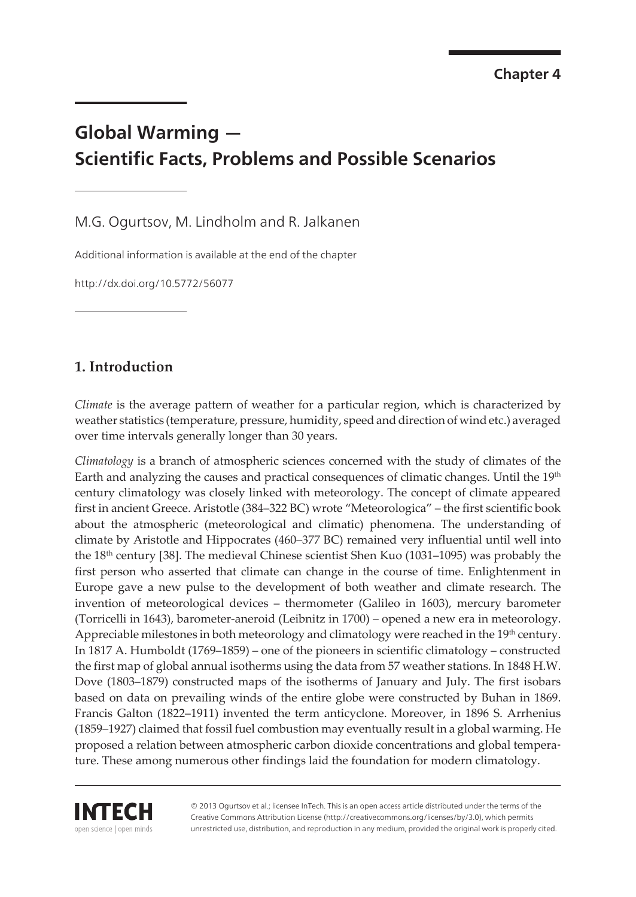# **Global Warming — Scientific Facts, Problems and Possible Scenarios**

M.G. Ogurtsov, M. Lindholm and R. Jalkanen

Additional information is available at the end of the chapter

http://dx.doi.org/10.5772/56077

# **1. Introduction**

*Climate* is the average pattern of weather for a particular region, which is characterized by weather statistics (temperature, pressure, humidity, speed and direction of wind etc.) averaged over time intervals generally longer than 30 years.

*Climatology* is a branch of atmospheric sciences concerned with the study of climates of the Earth and analyzing the causes and practical consequences of climatic changes. Until the 19<sup>th</sup> century climatology was closely linked with meteorology. The concept of climate appeared first in ancient Greece. Aristotle (384–322 BC) wrote "Meteorologica" – the first scientific book about the atmospheric (meteorological and climatic) phenomena. The understanding of climate by Aristotle and Hippocrates (460–377 BC) remained very influential until well into the  $18<sup>th</sup>$  century [[38\]](#page-24-0). The medieval Chinese scientist Shen Kuo (1031–1095) was probably the first person who asserted that climate can change in the course of time. Enlightenment in Europe gave a new pulse to the development of both weather and climate research. The invention of meteorological devices – thermometer (Galileo in 1603), mercury barometer (Torricelli in 1643), barometer-aneroid (Leibnitz in 1700) – opened a new era in meteorology. Appreciable milestones in both meteorology and climatology were reached in the 19<sup>th</sup> century. In 1817 A. Humboldt (1769–1859) – one of the pioneers in scientific climatology – constructed the first map of global annual isotherms using the data from 57 weather stations. In 1848 H.W. Dove (1803–1879) constructed maps of the isotherms of January and July. The first isobars based on data on prevailing winds of the entire globe were constructed by Buhan in 1869. Francis Galton (1822–1911) invented the term anticyclone. Moreover, in 1896 S. Arrhenius (1859–1927) claimed that fossil fuel combustion may eventually result in a global warming. He proposed a relation between atmospheric carbon dioxide concentrations and global tempera‐ ture. These among numerous other findings laid the foundation for modern climatology.



© 2013 Ogurtsov et al.; licensee InTech. This is an open access article distributed under the terms of the Creative Commons Attribution License (http://creativecommons.org/licenses/by/3.0), which permits unrestricted use, distribution, and reproduction in any medium, provided the original work is properly cited.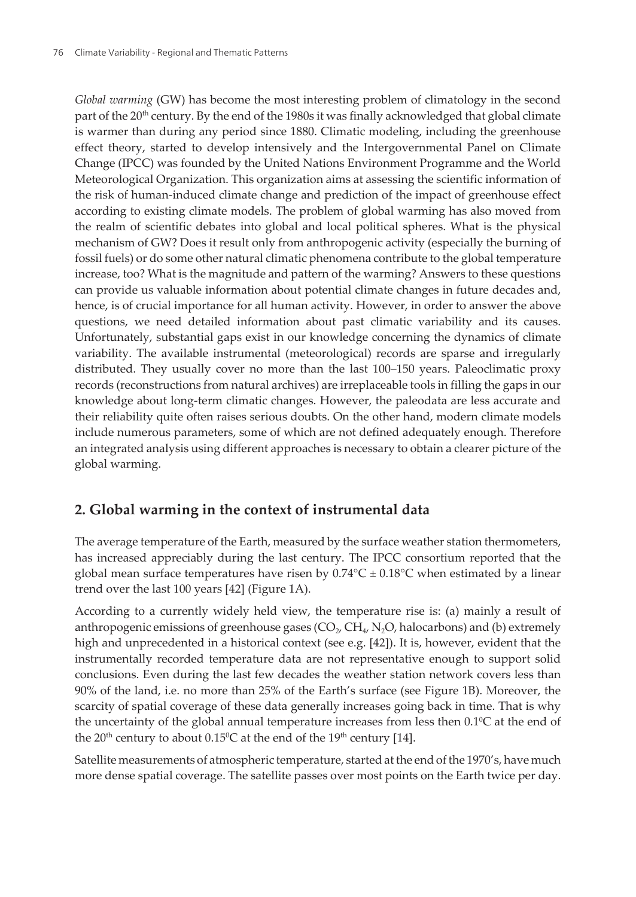*Global warming* (GW) has become the most interesting problem of climatology in the second part of the 20<sup>th</sup> century. By the end of the 1980s it was finally acknowledged that global climate is warmer than during any period since 1880. Climatic modeling, including the greenhouse effect theory, started to develop intensively and the Intergovernmental Panel on Climate Change (IPCC) was founded by the United Nations Environment Programme and the World Meteorological Organization. This organization aims at assessing the scientific information of the risk of human-induced climate change and prediction of the impact of greenhouse effect according to existing climate models. The problem of global warming has also moved from the realm of scientific debates into global and local political spheres. What is the physical mechanism of GW? Does it result only from anthropogenic activity (especially the burning of fossil fuels) or do some other natural climatic phenomena contribute to the global temperature increase, too? What is the magnitude and pattern of the warming? Answers to these questions can provide us valuable information about potential climate changes in future decades and, hence, is of crucial importance for all human activity. However, in order to answer the above questions, we need detailed information about past climatic variability and its causes. Unfortunately, substantial gaps exist in our knowledge concerning the dynamics of climate variability. The available instrumental (meteorological) records are sparse and irregularly distributed. They usually cover no more than the last 100–150 years. Paleoclimatic proxy records (reconstructions from natural archives) are irreplaceable tools in filling the gaps in our knowledge about long-term climatic changes. However, the paleodata are less accurate and their reliability quite often raises serious doubts. On the other hand, modern climate models include numerous parameters, some of which are not defined adequately enough. Therefore an integrated analysis using different approaches is necessary to obtain a clearer picture of the global warming.

# **2. Global warming in the context of instrumental data**

The average temperature of the Earth, measured by the surface weather station thermometers, has increased appreciably during the last century. The IPCC consortium reported that the global mean surface temperatures have risen by  $0.74^{\circ}C \pm 0.18^{\circ}C$  when estimated by a linear trend over the last 100 years [[42\]](#page-24-0) (Figure 1A).

According to a currently widely held view, the temperature rise is: (a) mainly a result of anthropogenic emissions of greenhouse gases ( $\text{CO}_2$ ,  $\text{CH}_4$ , N<sub>2</sub>O, halocarbons) and (b) extremely high and unprecedented in a historical context (see e.g. [[42](#page-24-0)]). It is, however, evident that the instrumentally recorded temperature data are not representative enough to support solid conclusions. Even during the last few decades the weather station network covers less than 90% of the land, i.e. no more than 25% of the Earth's surface (see Figure 1B). Moreover, the scarcity of spatial coverage of these data generally increases going back in time. That is why the uncertainty of the global annual temperature increases from less then  $0.1\textdegree$ C at the end of the 20<sup>th</sup> century to about  $0.15^{\circ}$ C at the end of the 19<sup>th</sup> century [[14\]](#page-22-0).

Satellite measurements of atmospheric temperature, started at the end of the 1970's, have much more dense spatial coverage. The satellite passes over most points on the Earth twice per day.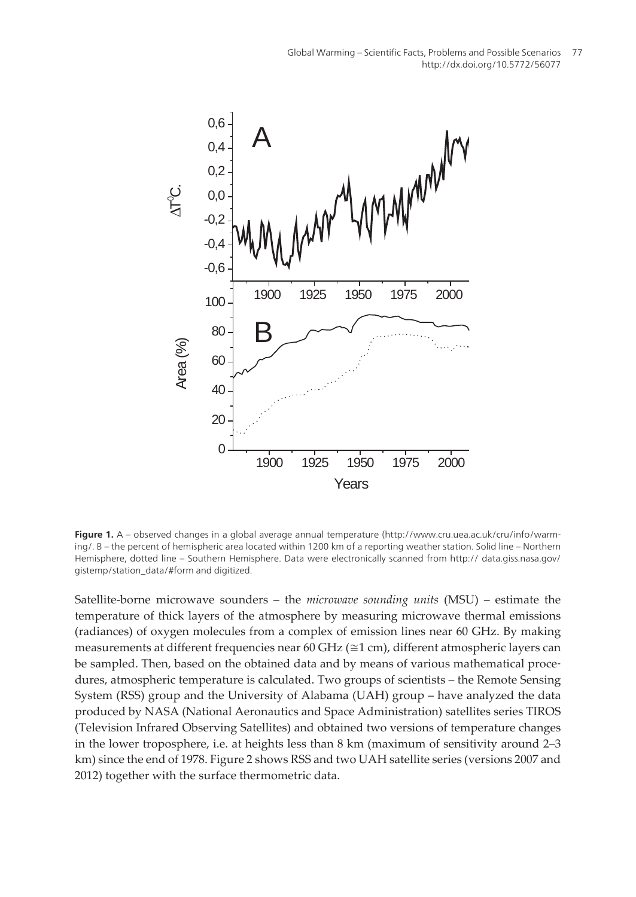

**Figure 1.** A – observed changes in a global average annual temperature (http://www.cru.uea.ac.uk/cru/info/warm‐ ing/. B – the percent of hemispheric area located within 1200 km of a reporting weather station. Solid line – Northern Hemisphere, dotted line – Southern Hemisphere. Data were electronically scanned from http:// data.giss.nasa.gov/ gistemp/station\_data/#form and digitized.

Satellite-borne microwave sounders – the *microwave sounding units* (MSU) – estimate the temperature of thick layers of the atmosphere by measuring microwave thermal emissions (radiances) of oxygen molecules from a complex of emission lines near 60 GHz. By making measurements at different frequencies near 60 GHz (≅1 cm), different atmospheric layers can be sampled. Then, based on the obtained data and by means of various mathematical procedures, atmospheric temperature is calculated. Two groups of scientists – the Remote Sensing System (RSS) group and the University of Alabama (UAH) group – have analyzed the data produced by NASA (National Aeronautics and Space Administration) satellites series TIROS (Television Infrared Observing Satellites) and obtained two versions of temperature changes in the lower troposphere, i.e. at heights less than 8 km (maximum of sensitivity around 2–3 km) since the end of 1978. [Figure 2](#page-3-0) shows RSS and two UAH satellite series (versions 2007 and 2012) together with the surface thermometric data.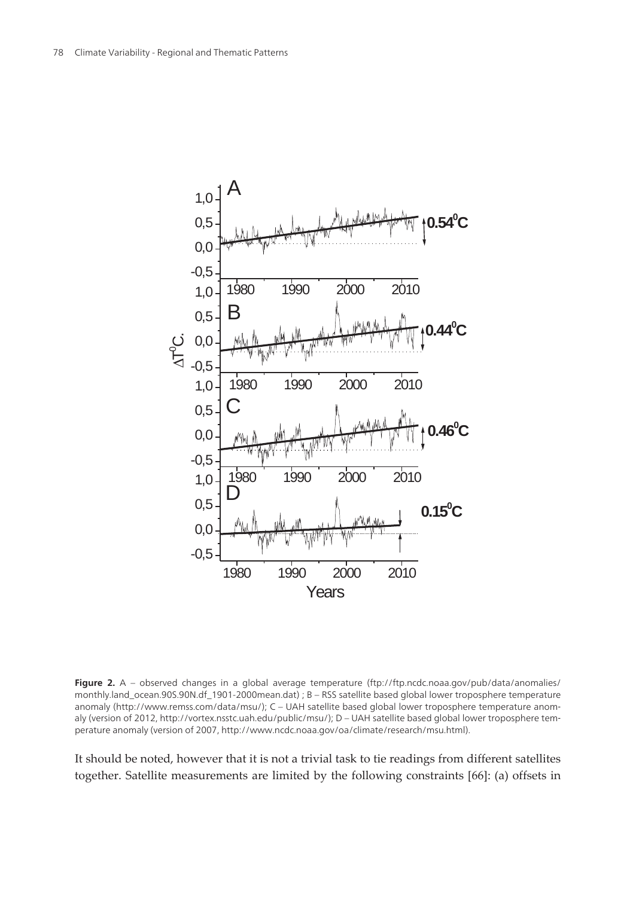<span id="page-3-0"></span>

**Figure 2.** A – observed changes in a global average temperature (ftp://ftp.ncdc.noaa.gov/pub/data/anomalies/ monthly.land\_ocean.90S.90N.df\_1901-2000mean.dat) ; B – RSS satellite based global lower troposphere temperature anomaly (http://www.remss.com/data/msu/); C – UAH satellite based global lower troposphere temperature anomaly (version of 2012, http://vortex.nsstc.uah.edu/public/msu/); D – UAH satellite based global lower troposphere temperature anomaly (version of 2007, http://www.ncdc.noaa.gov/oa/climate/research/msu.html).

It should be noted, however that it is not a trivial task to tie readings from different satellites together. Satellite measurements are limited by the following constraints [[66\]](#page-26-0): (a) offsets in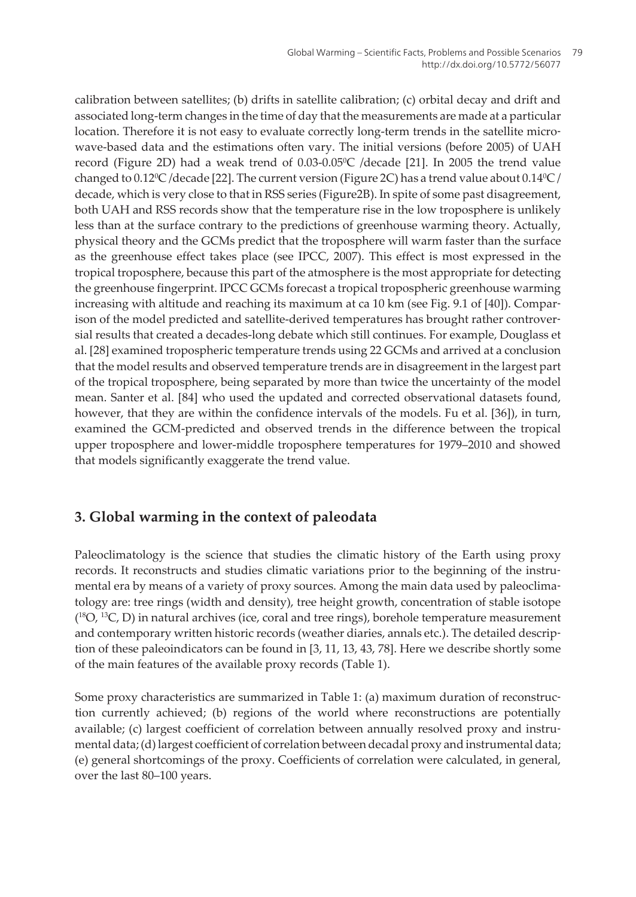calibration between satellites; (b) drifts in satellite calibration; (c) orbital decay and drift and associated long-term changes in the time of day that the measurements are made at a particular location. Therefore it is not easy to evaluate correctly long-term trends in the satellite microwave-based data and the estimations often vary. The initial versions (before 2005) of UAH record [\(Figure 2D\)](#page-3-0) had a weak trend of 0.03-0.05°C /decade [\[21](#page-22-0)]. In 2005 the trend value changed to  $0.12\text{°C}$  /decade [\[22](#page-22-0)]. The current version ([Figure 2C\)](#page-3-0) has a trend value about  $0.14\text{°C}$  / decade, which is very close to that in RSS series ([Figure2B\).](#page-3-0) In spite of some past disagreement, both UAH and RSS records show that the temperature rise in the low troposphere is unlikely less than at the surface contrary to the predictions of greenhouse warming theory. Actually, physical theory and the GCMs predict that the troposphere will warm faster than the surface as the greenhouse effect takes place (see IPCC, 2007). This effect is most expressed in the tropical troposphere, because this part of the atmosphere is the most appropriate for detecting the greenhouse fingerprint. IPCC GCMs forecast a tropical tropospheric greenhouse warming increasing with altitude and reaching its maximum at ca 10 km (see [Fig. 9](#page-14-0).1 of [\[40](#page-24-0)]). Comparison of the model predicted and satellite-derived temperatures has brought rather controversial results that created a decades-long debate which still continues. For example, Douglass et al. [[28\]](#page-23-0) examined tropospheric temperature trends using 22 GCMs and arrived at a conclusion that the model results and observed temperature trends are in disagreement in the largest part of the tropical troposphere, being separated by more than twice the uncertainty of the model mean. Santer et al. [\[84](#page-27-0)] who used the updated and corrected observational datasets found, however, that they are within the confidence intervals of the models. Fu et al. [\[36](#page-23-0)]), in turn, examined the GCM-predicted and observed trends in the difference between the tropical upper troposphere and lower-middle troposphere temperatures for 1979–2010 and showed that models significantly exaggerate the trend value.

# **3. Global warming in the context of paleodata**

Paleoclimatology is the science that studies the climatic history of the Earth using proxy records. It reconstructs and studies climatic variations prior to the beginning of the instrumental era by means of a variety of proxy sources. Among the main data used by paleoclima‐ tology are: tree rings (width and density), tree height growth, concentration of stable isotope  $(^{18}O, ^{13}C, D)$  in natural archives (ice, coral and tree rings), borehole temperature measurement and contemporary written historic records (weather diaries, annals etc.). The detailed descrip‐ tion of these paleoindicators can be found in [\[3,](#page-21-0) [11](#page-22-0), [13,](#page-22-0) [43](#page-24-0), [78\]](#page-27-0). Here we describe shortly some of the main features of the available proxy records (Table 1).

Some proxy characteristics are summarized in Table 1: (a) maximum duration of reconstruc‐ tion currently achieved; (b) regions of the world where reconstructions are potentially available; (c) largest coefficient of correlation between annually resolved proxy and instrumental data; (d) largest coefficient of correlation between decadal proxy and instrumental data; (e) general shortcomings of the proxy. Coefficients of correlation were calculated, in general, over the last 80–100 years.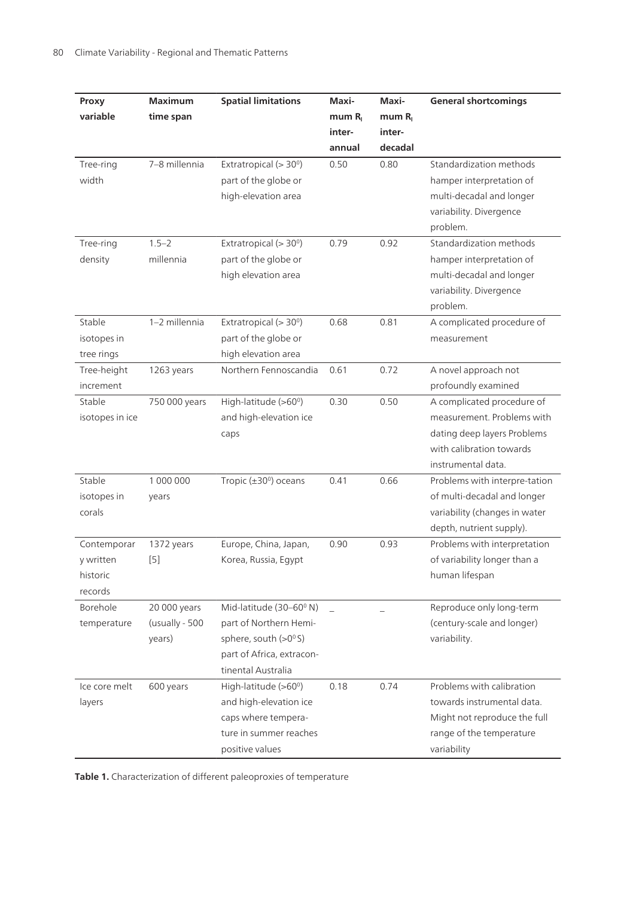| Proxy           | <b>Maximum</b> | <b>Spatial limitations</b>          | Maxi-          | Maxi-   | <b>General shortcomings</b>   |
|-----------------|----------------|-------------------------------------|----------------|---------|-------------------------------|
| variable        | time span      |                                     | $m$ um $R_{I}$ | mum R   |                               |
|                 |                |                                     | inter-         | inter-  |                               |
|                 |                |                                     | annual         | decadal |                               |
| Tree-ring       | 7-8 millennia  | Extratropical (> 30°)               | 0.50           | 0.80    | Standardization methods       |
| width           |                | part of the globe or                |                |         | hamper interpretation of      |
|                 |                | high-elevation area                 |                |         | multi-decadal and longer      |
|                 |                |                                     |                |         | variability. Divergence       |
|                 |                |                                     |                |         | problem.                      |
| Tree-ring       | $1.5 - 2$      | Extratropical ( $>$ 30 $^{\circ}$ ) | 0.79           | 0.92    | Standardization methods       |
| density         | millennia      | part of the globe or                |                |         | hamper interpretation of      |
|                 |                | high elevation area                 |                |         | multi-decadal and longer      |
|                 |                |                                     |                |         | variability. Divergence       |
|                 |                |                                     |                |         | problem.                      |
| Stable          | 1-2 millennia  | Extratropical (> 30°)               | 0.68           | 0.81    | A complicated procedure of    |
| isotopes in     |                | part of the globe or                |                |         | measurement                   |
| tree rings      |                | high elevation area                 |                |         |                               |
| Tree-height     | 1263 years     | Northern Fennoscandia               | 0.61           | 0.72    | A novel approach not          |
| increment       |                |                                     |                |         | profoundly examined           |
| Stable          | 750 000 years  | High-latitude (>60°)                | 0.30           | 0.50    | A complicated procedure of    |
| isotopes in ice |                | and high-elevation ice              |                |         | measurement. Problems with    |
|                 |                | caps                                |                |         | dating deep layers Problems   |
|                 |                |                                     |                |         | with calibration towards      |
|                 |                |                                     |                |         | instrumental data.            |
| Stable          | 1 000 000      | Tropic $(\pm 30^{\circ})$ oceans    | 0.41           | 0.66    | Problems with interpre-tation |
| isotopes in     | years          |                                     |                |         | of multi-decadal and longer   |
| corals          |                |                                     |                |         | variability (changes in water |
|                 |                |                                     |                |         | depth, nutrient supply).      |
| Contemporar     | 1372 years     | Europe, China, Japan,               | 0.90           | 0.93    | Problems with interpretation  |
| y written       | $[5]$          | Korea, Russia, Egypt                |                |         | of variability longer than a  |
| historic        |                |                                     |                |         | human lifespan                |
| records         |                |                                     |                |         |                               |
| Borehole        | 20 000 years   | Mid-latitude (30-60° N)             |                |         | Reproduce only long-term      |
| temperature     | (usually - 500 | part of Northern Hemi-              |                |         | (century-scale and longer)    |
|                 | years)         | sphere, south (>0°S)                |                |         | variability.                  |
|                 |                | part of Africa, extracon-           |                |         |                               |
|                 |                | tinental Australia                  |                |         |                               |
| Ice core melt   | 600 years      | High-latitude (>60°)                | 0.18           | 0.74    | Problems with calibration     |
| layers          |                | and high-elevation ice              |                |         | towards instrumental data.    |
|                 |                | caps where tempera-                 |                |         | Might not reproduce the full  |
|                 |                | ture in summer reaches              |                |         | range of the temperature      |
|                 |                | positive values                     |                |         | variability                   |

**Table 1.** Characterization of different paleoproxies of temperature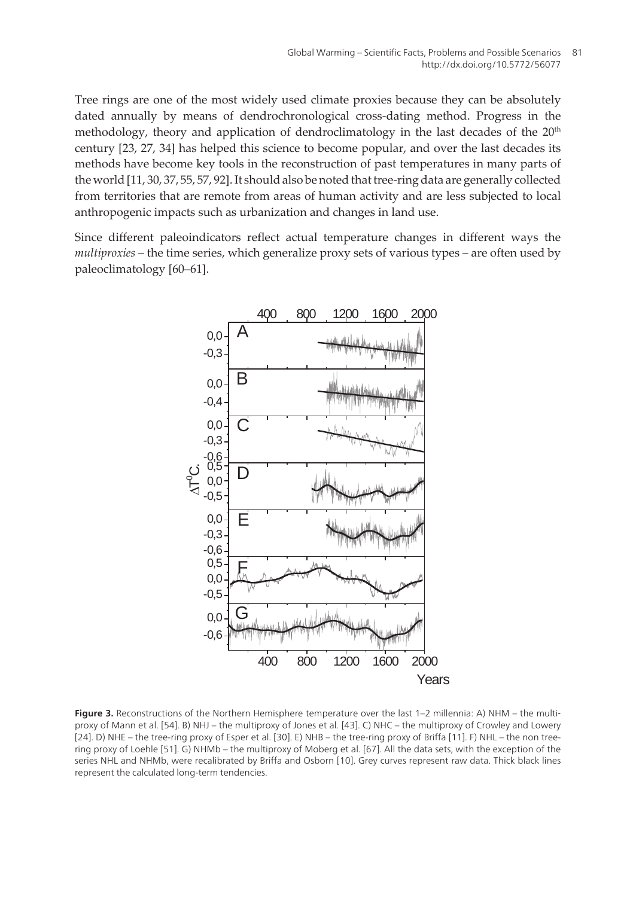<span id="page-6-0"></span>Tree rings are one of the most widely used climate proxies because they can be absolutely dated annually by means of dendrochronological cross-dating method. Progress in the methodology, theory and application of dendroclimatology in the last decades of the  $20<sup>th</sup>$ century [[23,](#page-23-0) [27,](#page-23-0) [34\]](#page-23-0) has helped this science to become popular, and over the last decades its methods have become key tools in the reconstruction of past temperatures in many parts of the world [\[11](#page-22-0), [30,](#page-23-0) [37](#page-24-0), [55, 57](#page-25-0), [92](#page-28-0)]. It should also be noted that tree-ring data are generally collected from territories that are remote from areas of human activity and are less subjected to local anthropogenic impacts such as urbanization and changes in land use.

Since different paleoindicators reflect actual temperature changes in different ways the *multiproxies* – the time series, which generalize proxy sets of various types – are often used by paleoclimatology [60–61].



Figure 3. Reconstructions of the Northern Hemisphere temperature over the last 1–2 millennia: A) NHM – the multiproxy of Mann et al. [\[54](#page-25-0)]. B) NHJ – the multiproxy of Jones et al. [[43](#page-24-0)]. C) NHC – the multiproxy of Crowley and Lowery [[24\]](#page-23-0). D) NHE – the tree-ring proxy of Esper et al. [[30\]](#page-23-0). E) NHB – the tree-ring proxy of Briffa [\[11](#page-22-0)]. F) NHL – the non treering proxy of Loehle [[51\]](#page-25-0). G) NHMb – the multiproxy of Moberg et al. [\[67\]](#page-26-0). All the data sets, with the exception of the series NHL and NHMb, were recalibrated by Briffa and Osborn [[10\]](#page-22-0). Grey curves represent raw data. Thick black lines represent the calculated long-term tendencies.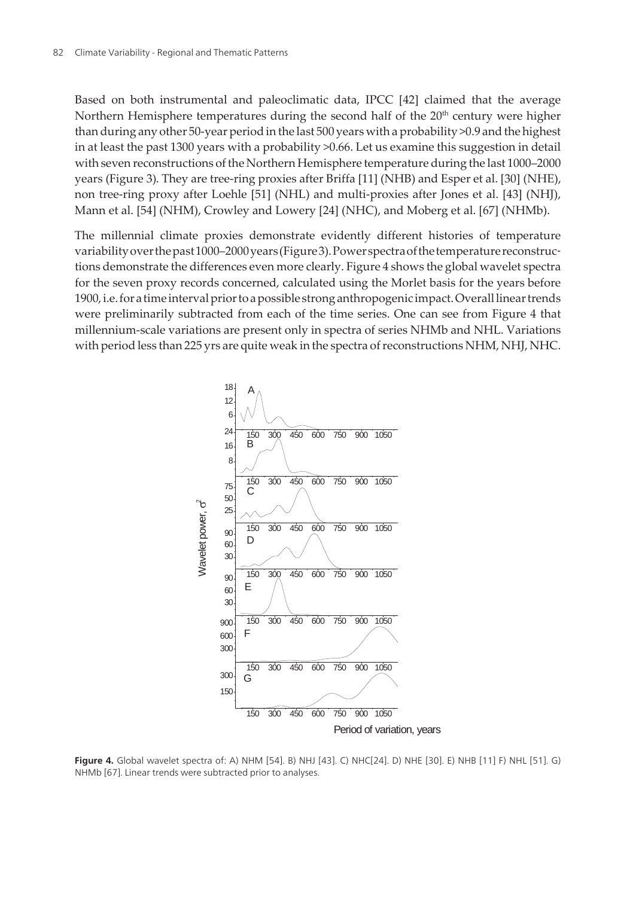<span id="page-7-0"></span>Based on both instrumental and paleoclimatic data, IPCC [\[42](#page-24-0)] claimed that the average Northern Hemisphere temperatures during the second half of the  $20<sup>th</sup>$  century were higher than during any other 50-year period in the last 500 years with a probability >0.9 and the highest in at least the past 1300 years with a probability >0.66. Let us examine this suggestion in detail with seven reconstructions of the Northern Hemisphere temperature during the last 1000–2000 years [\(Figure 3\)](#page-6-0). They are tree-ring proxies after Briffa [\[11](#page-22-0)] (NHB) and Esper et al. [\[30](#page-23-0)] (NHE), non tree-ring proxy after Loehle [\[51](#page-25-0)] (NHL) and multi-proxies after Jones et al. [[43\]](#page-24-0) (NHJ), Mann et al. [[54\]](#page-25-0) (NHM), Crowley and Lowery [[24\]](#page-23-0) (NHC), and Moberg et al. [\[67](#page-26-0)] (NHMb).

The millennial climate proxies demonstrate evidently different histories of temperature variability over the past 1000–2000 years (Figure 3). Power spectra of the temperature reconstructions demonstrate the differences even more clearly. Figure 4 shows the global wavelet spectra for the seven proxy records concerned, calculated using the Morlet basis for the years before 1900, i.e. for a time interval prior to a possible strong anthropogenic impact. Overall linear trends were preliminarily subtracted from each of the time series. One can see from Figure 4 that millennium-scale variations are present only in spectra of series NHMb and NHL. Variations with period less than 225 yrs are quite weak in the spectra of reconstructions NHM, NHJ, NHC.



**Figure 4.** Global wavelet spectra of: A) NHM [[54](#page-25-0)]. B) NHJ [[43\]](#page-24-0). C) NHC[\[24](#page-23-0)]. D) NHE [[30\]](#page-23-0). E) NHB [[11\]](#page-22-0) F) NHL [[51\]](#page-25-0). G) NHMb [\[67](#page-26-0)]. Linear trends were subtracted prior to analyses.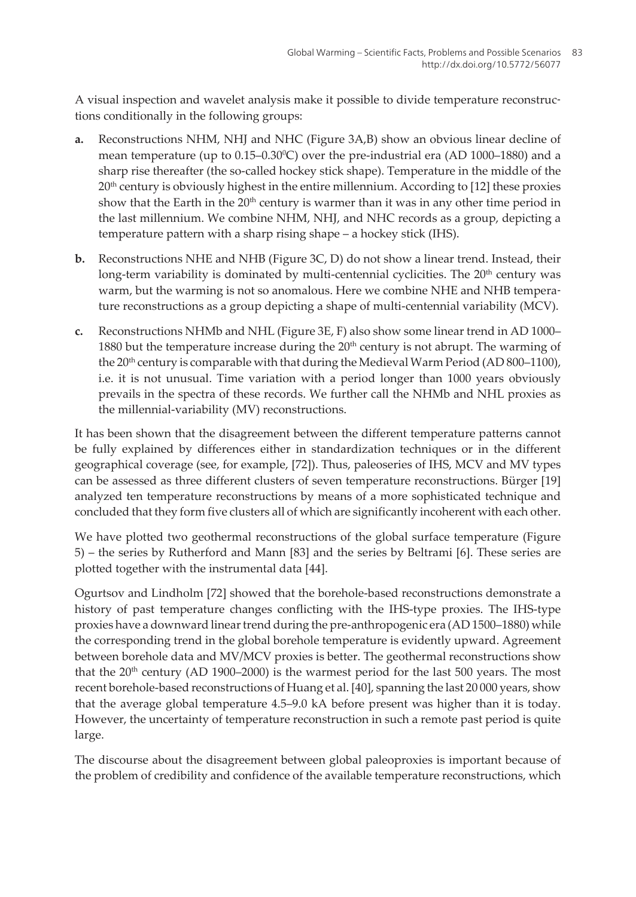A visual inspection and wavelet analysis make it possible to divide temperature reconstruc‐ tions conditionally in the following groups:

- **a.** Reconstructions NHM, NHJ and NHC [\(Figure 3A,B\)](#page-6-0) show an obvious linear decline of mean temperature (up to  $0.15$ – $0.30^{\circ}$ C) over the pre-industrial era (AD 1000–1880) and a sharp rise thereafter (the so-called hockey stick shape). Temperature in the middle of the  $20<sup>th</sup>$  century is obviously highest in the entire millennium. According to [[12\]](#page-22-0) these proxies show that the Earth in the  $20<sup>th</sup>$  century is warmer than it was in any other time period in the last millennium. We combine NHM, NHJ, and NHC records as a group, depicting a temperature pattern with a sharp rising shape – a hockey stick (IHS).
- **b.** Reconstructions NHE and NHB ([Figure 3C, D\)](#page-6-0) do not show a linear trend. Instead, their long-term variability is dominated by multi-centennial cyclicities. The  $20<sup>th</sup>$  century was warm, but the warming is not so anomalous. Here we combine NHE and NHB temperature reconstructions as a group depicting a shape of multi-centennial variability (MCV).
- **c.** Reconstructions NHMb and NHL [\(Figure 3E, F\)](#page-6-0) also show some linear trend in AD 1000– 1880 but the temperature increase during the  $20<sup>th</sup>$  century is not abrupt. The warming of the  $20<sup>th</sup>$  century is comparable with that during the Medieval Warm Period (AD 800–1100), i.e. it is not unusual. Time variation with a period longer than 1000 years obviously prevails in the spectra of these records. We further call the NHMb and NHL proxies as the millennial-variability (MV) reconstructions.

It has been shown that the disagreement between the different temperature patterns cannot be fully explained by differences either in standardization techniques or in the different geographical coverage (see, for example, [\[72](#page-26-0)]). Thus, paleoseries of IHS, MCV and MV types can be assessed as three different clusters of seven temperature reconstructions. Bürger [\[19](#page-22-0)] analyzed ten temperature reconstructions by means of a more sophisticated technique and concluded that they form five clusters all of which are significantly incoherent with each other.

We have plotted two geothermal reconstructions of the global surface temperature (Figure 5) – the series by Rutherford and Mann [[83\]](#page-27-0) and the series by Beltrami [[6](#page-21-0)]. These series are plotted together with the instrumental data [\[44](#page-24-0)].

Ogurtsov and Lindholm [[72\]](#page-26-0) showed that the borehole-based reconstructions demonstrate a history of past temperature changes conflicting with the IHS-type proxies. The IHS-type proxies have a downward linear trend during the pre-anthropogenic era (AD 1500–1880) while the corresponding trend in the global borehole temperature is evidently upward. Agreement between borehole data and MV/MCV proxies is better. The geothermal reconstructions show that the  $20<sup>th</sup>$  century (AD 1900–2000) is the warmest period for the last 500 years. The most recent borehole-based reconstructions of Huang et al. [\[40](#page-24-0)], spanning the last 20 000 years, show that the average global temperature 4.5–9.0 kA before present was higher than it is today. However, the uncertainty of temperature reconstruction in such a remote past period is quite large.

The discourse about the disagreement between global paleoproxies is important because of the problem of credibility and confidence of the available temperature reconstructions, which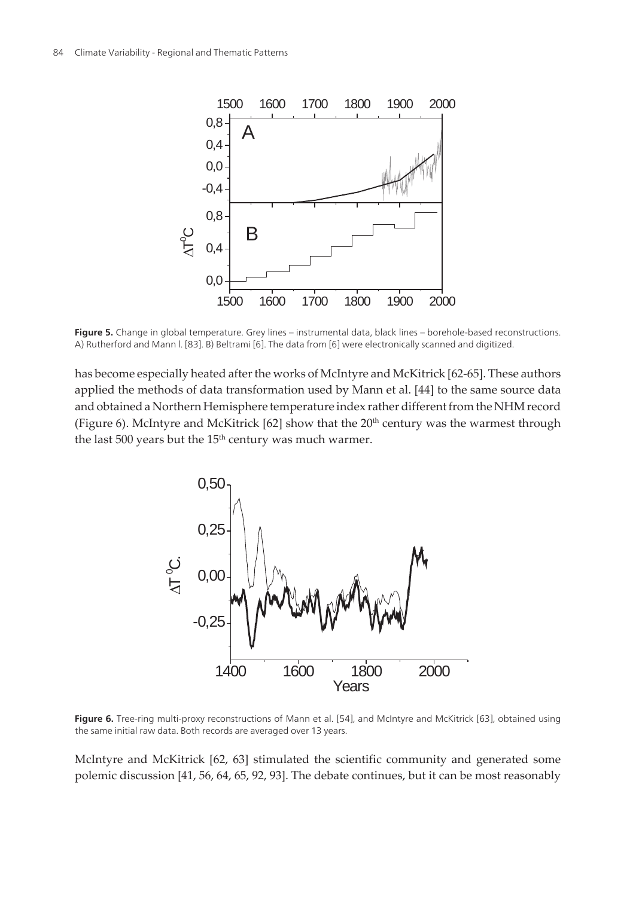<span id="page-9-0"></span>

**Figure 5.** Change in global temperature. Grey lines – instrumental data, black lines – borehole-based reconstructions. A) Rutherford and Mann l. [\[83](#page-27-0)]. B) Beltrami [[6\]](#page-21-0). The data from [\[6](#page-21-0)] were electronically scanned and digitized.

has become especially heated after the works of McIntyre and McKitrick [\[62](#page-25-0)[-65](#page-26-0)]. These authors applied the methods of data transformation used by Mann et al. [\[44](#page-24-0)] to the same source data and obtained a Northern Hemisphere temperature index rather different from the NHM record (Figure 6). McIntyre and McKitrick  $[62]$  $[62]$  show that the 20<sup>th</sup> century was the warmest through the last 500 years but the  $15<sup>th</sup>$  century was much warmer.



Figure 6. Tree-ring multi-proxy reconstructions of Mann et al. [\[54](#page-25-0)], and McIntyre and McKitrick [\[63](#page-25-0)], obtained using the same initial raw data. Both records are averaged over 13 years.

McIntyre and McKitrick [[62,](#page-25-0) [63\]](#page-25-0) stimulated the scientific community and generated some polemic discussion [[41,](#page-24-0) [56,](#page-25-0) [64](#page-26-0), [65,](#page-26-0) [92](#page-28-0), [93](#page-28-0)]. The debate continues, but it can be most reasonably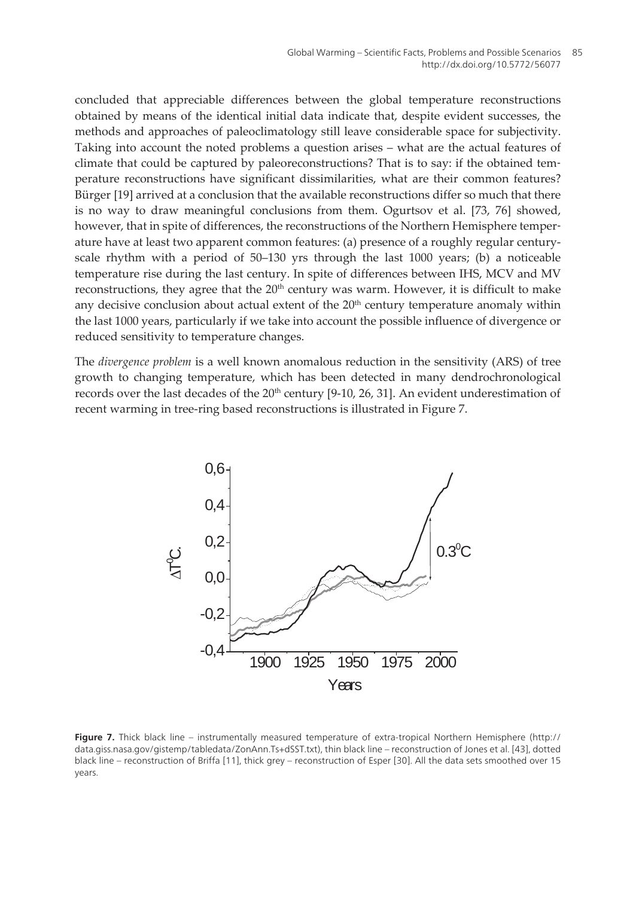concluded that appreciable differences between the global temperature reconstructions obtained by means of the identical initial data indicate that, despite evident successes, the methods and approaches of paleoclimatology still leave considerable space for subjectivity. Taking into account the noted problems a question arises – what are the actual features of climate that could be captured by paleoreconstructions? That is to say: if the obtained tem‐ perature reconstructions have significant dissimilarities, what are their common features? Bürger [\[19](#page-22-0)] arrived at a conclusion that the available reconstructions differ so much that there is no way to draw meaningful conclusions from them. Ogurtsov et al. [\[73](#page-26-0), [76\]](#page-26-0) showed, however, that in spite of differences, the reconstructions of the Northern Hemisphere temperature have at least two apparent common features: (a) presence of a roughly regular centuryscale rhythm with a period of 50–130 yrs through the last 1000 years; (b) a noticeable temperature rise during the last century. In spite of differences between IHS, MCV and MV reconstructions, they agree that the 20<sup>th</sup> century was warm. However, it is difficult to make any decisive conclusion about actual extent of the  $20<sup>th</sup>$  century temperature anomaly within the last 1000 years, particularly if we take into account the possible influence of divergence or reduced sensitivity to temperature changes.

The *divergence problem* is a well known anomalous reduction in the sensitivity (ARS) of tree growth to changing temperature, which has been detected in many dendrochronological records over the last decades of the  $20<sup>th</sup>$  century [[9-10,](#page-22-0) [26](#page-23-0), [31\]](#page-23-0). An evident underestimation of recent warming in tree-ring based reconstructions is illustrated in Figure 7.



**Figure 7.** Thick black line – instrumentally measured temperature of extra-tropical Northern Hemisphere (http:// data.giss.nasa.gov/gistemp/tabledata/ZonAnn.Ts+dSST.txt), thin black line – reconstruction of Jones et al. [\[43](#page-24-0)], dotted black line – reconstruction of Briffa [\[11](#page-22-0)], thick grey – reconstruction of Esper [[30\]](#page-23-0). All the data sets smoothed over 15 years.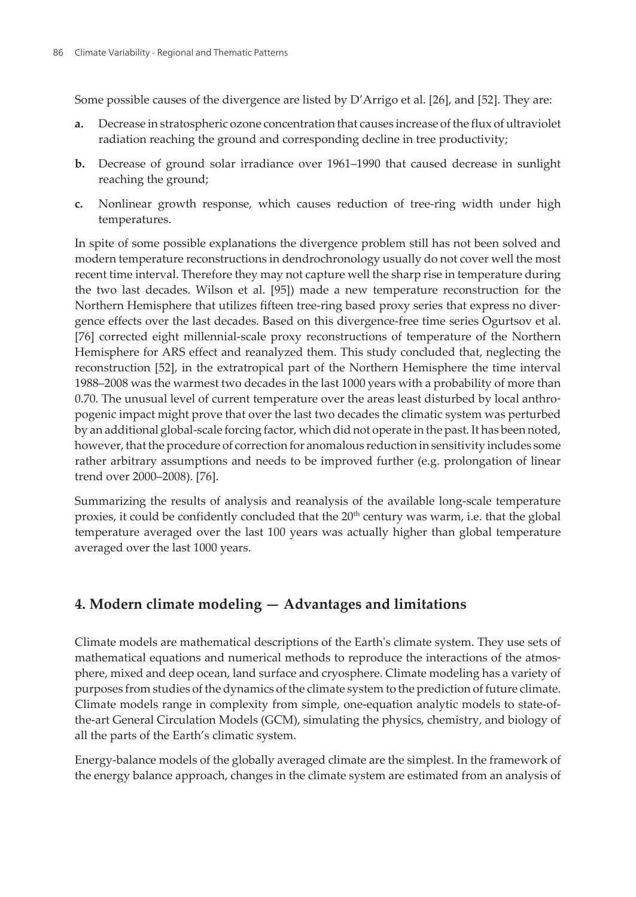Some possible causes of the divergence are listed by D'Arrigo et al. [\[26](#page-23-0)], and [\[52](#page-25-0)]. They are:

- **a.** Decrease in stratospheric ozone concentration that causes increase of the flux of ultraviolet radiation reaching the ground and corresponding decline in tree productivity;
- **b.** Decrease of ground solar irradiance over 1961–1990 that caused decrease in sunlight reaching the ground;
- **c.** Nonlinear growth response, which causes reduction of tree-ring width under high temperatures.

In spite of some possible explanations the divergence problem still has not been solved and modern temperature reconstructions in dendrochronology usually do not cover well the most recent time interval. Therefore they may not capture well the sharp rise in temperature during the two last decades. Wilson et al. [\[95](#page-28-0)]) made a new temperature reconstruction for the Northern Hemisphere that utilizes fifteen tree-ring based proxy series that express no diver‐ gence effects over the last decades. Based on this divergence-free time series Ogurtsov et al. [[76\]](#page-26-0) corrected eight millennial-scale proxy reconstructions of temperature of the Northern Hemisphere for ARS effect and reanalyzed them. This study concluded that, neglecting the reconstruction [\[52](#page-25-0)], in the extratropical part of the Northern Hemisphere the time interval 1988–2008 was the warmest two decades in the last 1000 years with a probability of more than 0.70. The unusual level of current temperature over the areas least disturbed by local anthropogenic impact might prove that over the last two decades the climatic system was perturbed by an additional global-scale forcing factor, which did not operate in the past. It has been noted, however, that the procedure of correction for anomalous reduction in sensitivity includes some rather arbitrary assumptions and needs to be improved further (e.g. prolongation of linear trend over 2000–2008). [[76\]](#page-26-0).

Summarizing the results of analysis and reanalysis of the available long-scale temperature proxies, it could be confidently concluded that the  $20<sup>th</sup>$  century was warm, i.e. that the global temperature averaged over the last 100 years was actually higher than global temperature averaged over the last 1000 years.

# **4. Modern climate modeling — Advantages and limitations**

Climate models are mathematical descriptions of the Earth's climate system. They use sets of mathematical equations and numerical methods to reproduce the interactions of the atmosphere, mixed and deep ocean, land surface and cryosphere. Climate modeling has a variety of purposes from studies of the dynamics of the climate system to the prediction of future climate. Climate models range in complexity from simple, one-equation analytic models to state-ofthe-art General Circulation Models (GCM), simulating the physics, chemistry, and biology of all the parts of the Earth's climatic system.

Energy-balance models of the globally averaged climate are the simplest. In the framework of the energy balance approach, changes in the climate system are estimated from an analysis of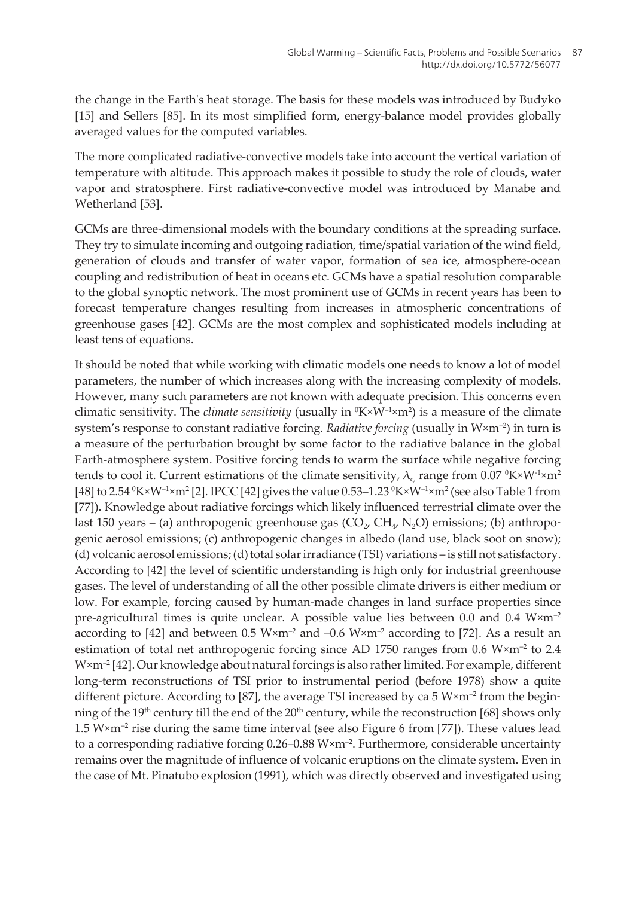the change in the Earth's heat storage. The basis for these models was introduced by Budyko [[15\]](#page-22-0) and Sellers [\[85](#page-27-0)]. In its most simplified form, energy-balance model provides globally averaged values for the computed variables.

The more complicated radiative-convective models take into account the vertical variation of temperature with altitude. This approach makes it possible to study the role of clouds, water vapor and stratosphere. First radiative-convective model was introduced by Manabe and Wetherland [\[53](#page-25-0)].

GCMs are three-dimensional models with the boundary conditions at the spreading surface. They try to simulate incoming and outgoing radiation, time/spatial variation of the wind field, generation of clouds and transfer of water vapor, formation of sea ice, atmosphere-ocean coupling and redistribution of heat in oceans etc. GCMs have a spatial resolution comparable to the global synoptic network. The most prominent use of GCMs in recent years has been to forecast temperature changes resulting from increases in atmospheric concentrations of greenhouse gases [\[42](#page-24-0)]. GCMs are the most complex and sophisticated models including at least tens of equations.

It should be noted that while working with climatic models one needs to know a lot of model parameters, the number of which increases along with the increasing complexity of models. However, many such parameters are not known with adequate precision. This concerns even climatic sensitivity. The *climate sensitivity* (usually in  ${}^0K\times W^{-1}\times m^2$ ) is a measure of the climate system's response to constant radiative forcing. *Radiative forcing* (usually in W×m<sup>-2</sup>) in turn is a measure of the perturbation brought by some factor to the radiative balance in the global Earth-atmosphere system. Positive forcing tends to warm the surface while negative forcing tends to cool it. Current estimations of the climate sensitivity,  $\lambda_c$  range from 0.07  $\frac{0 \times W^1 x m^2}{2}$ [[48\]](#page-24-0) to 2.54  $^0$ K×W<sup>-1</sup>×m² [\[2\]](#page-21-0). IPCC [\[42](#page-24-0)] gives the value 0.53–1.23  $^0$ K×W<sup>-1</sup>×m² (see also Table 1 from [[77\]](#page-27-0)). Knowledge about radiative forcings which likely influenced terrestrial climate over the last 150 years – (a) anthropogenic greenhouse gas  $(CO<sub>2</sub>, CH<sub>4</sub>, N<sub>2</sub>O)$  emissions; (b) anthropogenic aerosol emissions; (c) anthropogenic changes in albedo (land use, black soot on snow); (d) volcanic aerosol emissions; (d) total solar irradiance (TSI) variations – is still not satisfactory. According to [\[42](#page-24-0)] the level of scientific understanding is high only for industrial greenhouse gases. The level of understanding of all the other possible climate drivers is either medium or low. For example, forcing caused by human-made changes in land surface properties since pre-agricultural times is quite unclear. A possible value lies between 0.0 and 0.4  $W \times m^{-2}$ according to [\[42](#page-24-0)] and between 0.5 W $\times$ m<sup>-2</sup> and -0.6 W $\times$ m<sup>-2</sup> according to [[72\]](#page-26-0). As a result an estimation of total net anthropogenic forcing since AD 1750 ranges from 0.6  $W \times m^{-2}$  to 2.4 W×m<sup>-2</sup> [\[42](#page-24-0)]. Our knowledge about natural forcings is also rather limited. For example, different long-term reconstructions of TSI prior to instrumental period (before 1978) show a quite different picture. According to [[87\]](#page-27-0), the average TSI increased by ca 5  $W \times m^{-2}$  from the begin-ning of the 19<sup>th</sup> century till the end of the 20<sup>th</sup> century, while the reconstruction [[68\]](#page-26-0) shows only 1.5  $W \times m^{-2}$  rise during the same time interval (see also [Figure 6](#page-9-0) from [[77\]](#page-27-0)). These values lead to a corresponding radiative forcing  $0.26-0.88$  W $\times$ m<sup>-2</sup>. Furthermore, considerable uncertainty remains over the magnitude of influence of volcanic eruptions on the climate system. Even in the case of Mt. Pinatubo explosion (1991), which was directly observed and investigated using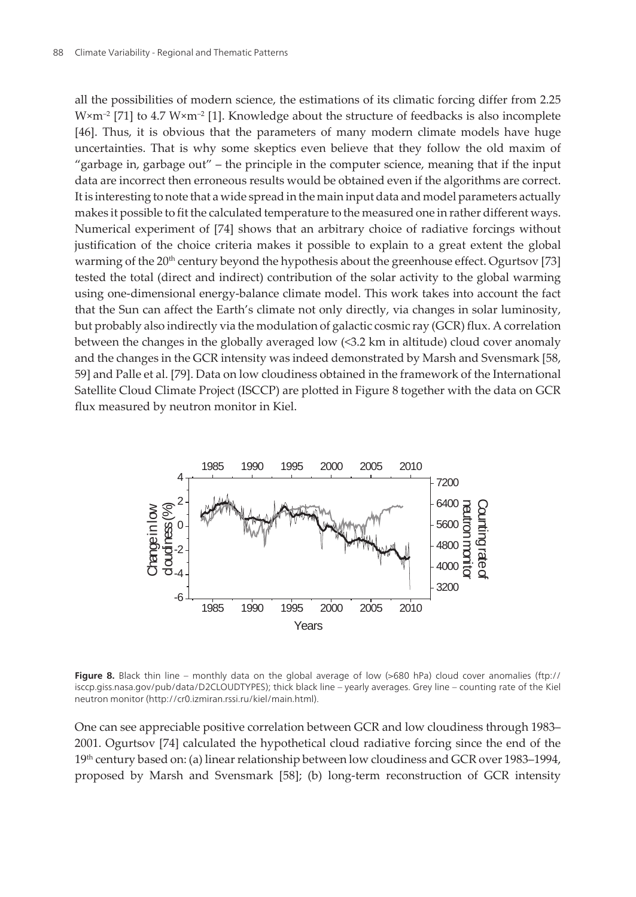all the possibilities of modern science, the estimations of its climatic forcing differ from 2.25  $W \times m^{-2}$  [\[71](#page-26-0)] to 4.7  $W \times m^{-2}$  [[1](#page-21-0)]. Knowledge about the structure of feedbacks is also incomplete [[46\]](#page-24-0). Thus, it is obvious that the parameters of many modern climate models have huge uncertainties. That is why some skeptics even believe that they follow the old maxim of "garbage in, garbage out" – the principle in the computer science, meaning that if the input data are incorrect then erroneous results would be obtained even if the algorithms are correct. It is interesting to note that a wide spread in the main input data and model parameters actually makes it possible to fit the calculated temperature to the measured one in rather different ways. Numerical experiment of [\[74](#page-26-0)] shows that an arbitrary choice of radiative forcings without justification of the choice criteria makes it possible to explain to a great extent the global warming of the 20<sup>th</sup> century beyond the hypothesis about the greenhouse effect. Ogurtsov [\[73](#page-26-0)] tested the total (direct and indirect) contribution of the solar activity to the global warming using one-dimensional energy-balance climate model. This work takes into account the fact that the Sun can affect the Earth's climate not only directly, via changes in solar luminosity, but probably also indirectly via the modulation of galactic cosmic ray (GCR) flux. A correlation between the changes in the globally averaged low (<3.2 km in altitude) cloud cover anomaly and the changes in the GCR intensity was indeed demonstrated by Marsh and Svensmark [[58,](#page-25-0) [59\]](#page-25-0) and Palle et al. [\[79](#page-27-0)]. Data on low cloudiness obtained in the framework of the International Satellite Cloud Climate Project (ISCCP) are plotted in Figure 8 together with the data on GCR flux measured by neutron monitor in Kiel.



**Figure 8.** Black thin line – monthly data on the global average of low (>680 hPa) cloud cover anomalies (ftp:// isccp.giss.nasa.gov/pub/data/D2CLOUDTYPES); thick black line – yearly averages. Grey line – counting rate of the Kiel neutron monitor (http://cr0.izmiran.rssi.ru/kiel/main.html).

One can see appreciable positive correlation between GCR and low cloudiness through 1983– 2001. Ogurtsov [[74\]](#page-26-0) calculated the hypothetical cloud radiative forcing since the end of the 19th century based on: (a) linear relationship between low cloudiness and GCR over 1983–1994, proposed by Marsh and Svensmark [[58\]](#page-25-0); (b) long-term reconstruction of GCR intensity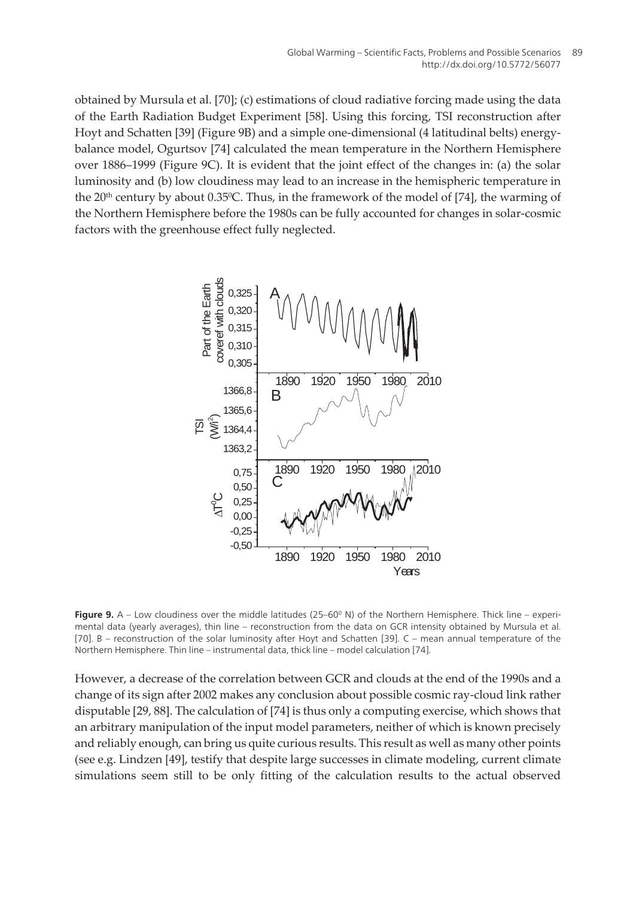<span id="page-14-0"></span>obtained by Mursula et al. [[70\]](#page-26-0); (c) estimations of cloud radiative forcing made using the data of the Earth Radiation Budget Experiment [\[58](#page-25-0)]. Using this forcing, TSI reconstruction after Hoyt and Schatten [[39\]](#page-24-0) (Figure 9B) and a simple one-dimensional (4 latitudinal belts) energybalance model, Ogurtsov [[74\]](#page-26-0) calculated the mean temperature in the Northern Hemisphere over 1886–1999 (Figure 9C). It is evident that the joint effect of the changes in: (a) the solar luminosity and (b) low cloudiness may lead to an increase in the hemispheric temperature in the 20<sup>th</sup> century by about 0.35<sup>o</sup>C. Thus, in the framework of the model of [[74\]](#page-26-0), the warming of the Northern Hemisphere before the 1980s can be fully accounted for changes in solar-cosmic factors with the greenhouse effect fully neglected.



**Figure 9.** A – Low cloudiness over the middle latitudes (25–60° N) of the Northern Hemisphere. Thick line – experimental data (yearly averages), thin line – reconstruction from the data on GCR intensity obtained by Mursula et al. [[70\]](#page-26-0). B – reconstruction of the solar luminosity after Hoyt and Schatten [\[39](#page-24-0)]. C – mean annual temperature of the Northern Hemisphere. Thin line – instrumental data, thick line – model calculation [[74\]](#page-26-0).

However, a decrease of the correlation between GCR and clouds at the end of the 1990s and a change of its sign after 2002 makes any conclusion about possible cosmic ray-cloud link rather disputable [[29,](#page-23-0) [88\]](#page-27-0). The calculation of [[74\]](#page-26-0) is thus only a computing exercise, which shows that an arbitrary manipulation of the input model parameters, neither of which is known precisely and reliably enough, can bring us quite curious results. This result as well as many other points (see e.g. Lindzen [\[49](#page-24-0)], testify that despite large successes in climate modeling, current climate simulations seem still to be only fitting of the calculation results to the actual observed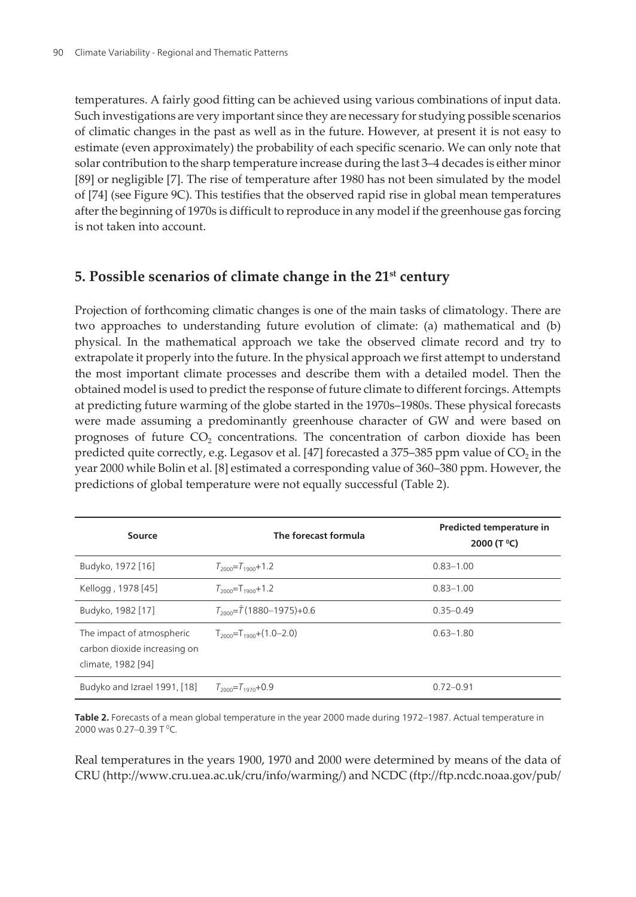temperatures. A fairly good fitting can be achieved using various combinations of input data. Such investigations are very important since they are necessary for studying possible scenarios of climatic changes in the past as well as in the future. However, at present it is not easy to estimate (even approximately) the probability of each specific scenario. We can only note that solar contribution to the sharp temperature increase during the last 3–4 decades is either minor [[89\]](#page-27-0) or negligible [\[7\]](#page-22-0). The rise of temperature after 1980 has not been simulated by the model of [[74\]](#page-26-0) (see [Figure 9C\).](#page-14-0) This testifies that the observed rapid rise in global mean temperatures after the beginning of 1970s is difficult to reproduce in any model if the greenhouse gas forcing is not taken into account.

#### **5. Possible scenarios of climate change in the 21st century**

Projection of forthcoming climatic changes is one of the main tasks of climatology. There are two approaches to understanding future evolution of climate: (a) mathematical and (b) physical. In the mathematical approach we take the observed climate record and try to extrapolate it properly into the future. In the physical approach we first attempt to understand the most important climate processes and describe them with a detailed model. Then the obtained model is used to predict the response of future climate to different forcings. Attempts at predicting future warming of the globe started in the 1970s–1980s. These physical forecasts were made assuming a predominantly greenhouse character of GW and were based on prognoses of future  $CO<sub>2</sub>$  concentrations. The concentration of carbon dioxide has been predicted quite correctly, e.g. Legasov et al. [\[47](#page-24-0)] forecasted a 375–385 ppm value of CO $_2$  in the year 2000 while Bolin et al. [[8](#page-22-0)] estimated a corresponding value of 360–380 ppm. However, the predictions of global temperature were not equally successful (Table 2).

| Source                                                                          | The forecast formula                     | Predicted temperature in<br>2000 (T °C) |
|---------------------------------------------------------------------------------|------------------------------------------|-----------------------------------------|
| Budyko, 1972 [16]                                                               | $T_{2000} = T_{1900} + 1.2$              | $0.83 - 1.00$                           |
| Kellogg, 1978 [45]                                                              | $T_{2000}$ =T <sub>1900</sub> +1.2       | $0.83 - 1.00$                           |
| Budyko, 1982 [17]                                                               | $T_{2000} = \bar{T} (1880 - 1975) + 0.6$ | $0.35 - 0.49$                           |
| The impact of atmospheric<br>carbon dioxide increasing on<br>climate, 1982 [94] | $T_{2000}$ = $T_{1900}$ + $(1.0-2.0)$    | $0.63 - 1.80$                           |
| Budyko and Izrael 1991, [18]                                                    | $T_{2000} = T_{1970} + 0.9$              | $0.72 - 0.91$                           |

**Table 2.** Forecasts of a mean global temperature in the year 2000 made during 1972–1987. Actual temperature in 2000 was 0.27–0.39 T <sup>0</sup>C.

Real temperatures in the years 1900, 1970 and 2000 were determined by means of the data of CRU (http://www.cru.uea.ac.uk/cru/info/warming/) and NCDC (ftp://ftp.ncdc.noaa.gov/pub/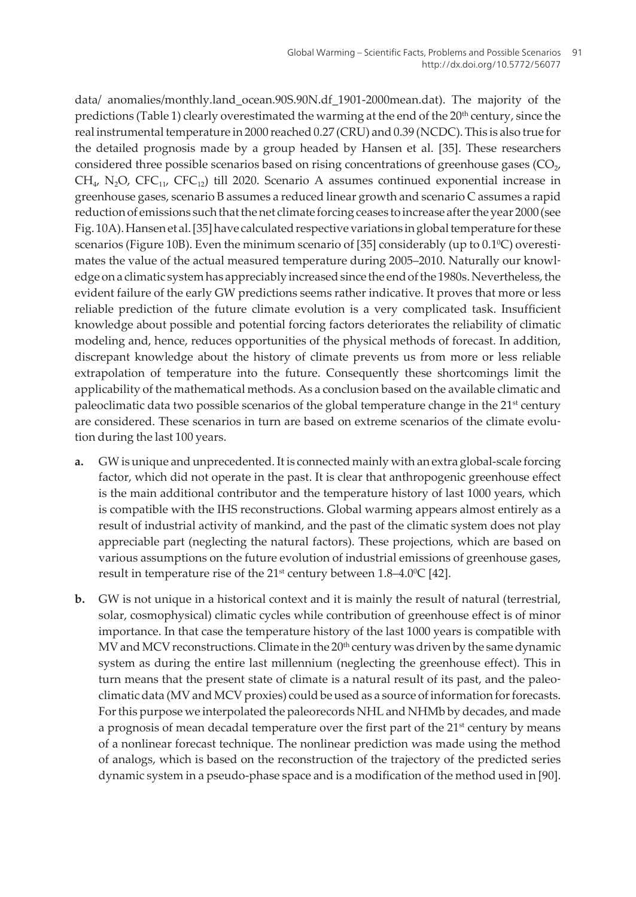data/ anomalies/monthly.land\_ocean.90S.90N.df\_1901-2000mean.dat). The majority of the predictions (Table 1) clearly overestimated the warming at the end of the 20<sup>th</sup> century, since the real instrumental temperature in 2000 reached 0.27 (CRU) and 0.39 (NCDC). This is also true for the detailed prognosis made by a group headed by Hansen et al. [\[35](#page-23-0)]. These researchers considered three possible scenarios based on rising concentrations of greenhouse gases (CO $_{\nu}$  $CH_{4}$ , N<sub>2</sub>O, CFC<sub>11</sub>, CFC<sub>12</sub>) till 2020. Scenario A assumes continued exponential increase in greenhouse gases, scenario B assumes a reduced linear growth and scenario C assumes a rapid reduction of emissions such that the net climate forcing ceases to increase after the year 2000 (see Fig. 10A). Hansen et al. [\[35](#page-23-0)] have calculated respective variations in global temperature for these scenarios (Figure 10B). Even the minimum scenario of [\[35](#page-23-0)] considerably (up to  $0.1^{\circ}$ C) overestimates the value of the actual measured temperature during 2005–2010. Naturally our knowledge on a climatic system has appreciably increased since the end of the 1980s. Nevertheless, the evident failure of the early GW predictions seems rather indicative. It proves that more or less reliable prediction of the future climate evolution is a very complicated task. Insufficient knowledge about possible and potential forcing factors deteriorates the reliability of climatic modeling and, hence, reduces opportunities of the physical methods of forecast. In addition, discrepant knowledge about the history of climate prevents us from more or less reliable extrapolation of temperature into the future. Consequently these shortcomings limit the applicability of the mathematical methods. As a conclusion based on the available climatic and paleoclimatic data two possible scenarios of the global temperature change in the  $21<sup>st</sup>$  century are considered. These scenarios in turn are based on extreme scenarios of the climate evolution during the last 100 years.

- **a.** GW is unique and unprecedented. It is connected mainly with an extra global-scale forcing factor, which did not operate in the past. It is clear that anthropogenic greenhouse effect is the main additional contributor and the temperature history of last 1000 years, which is compatible with the IHS reconstructions. Global warming appears almost entirely as a result of industrial activity of mankind, and the past of the climatic system does not play appreciable part (neglecting the natural factors). These projections, which are based on various assumptions on the future evolution of industrial emissions of greenhouse gases, result in temperature rise of the 21<sup>st</sup> century between 1.8–4.0<sup>o</sup>C [[42\]](#page-24-0).
- **b.** GW is not unique in a historical context and it is mainly the result of natural (terrestrial, solar, cosmophysical) climatic cycles while contribution of greenhouse effect is of minor importance. In that case the temperature history of the last 1000 years is compatible with MV and MCV reconstructions. Climate in the 20<sup>th</sup> century was driven by the same dynamic system as during the entire last millennium (neglecting the greenhouse effect). This in turn means that the present state of climate is a natural result of its past, and the paleoclimatic data (MV and MCV proxies) could be used as a source of information for forecasts. For this purpose we interpolated the paleorecords NHL and NHMb by decades, and made a prognosis of mean decadal temperature over the first part of the  $21<sup>st</sup>$  century by means of a nonlinear forecast technique. The nonlinear prediction was made using the method of analogs, which is based on the reconstruction of the trajectory of the predicted series dynamic system in a pseudo-phase space and is a modification of the method used in [[90\]](#page-27-0).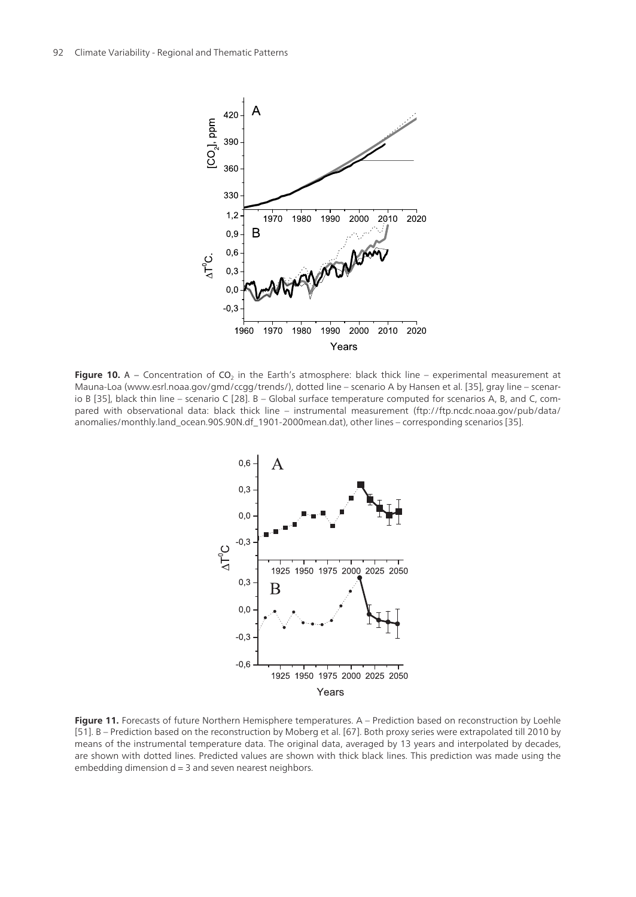<span id="page-17-0"></span>

**Figure 10.** A – Concentration of  $CO_2$  in the Earth's atmosphere: black thick line – experimental measurement at Mauna-Loa (www.esrl.noaa.gov/gmd/ccgg/trends/), dotted line – scenario A by Hansen et al. [[35\]](#page-23-0), gray line – scenar‐ io B [\[35](#page-23-0)], black thin line – scenario C [[28\]](#page-23-0). B – Global surface temperature computed for scenarios A, B, and C, compared with observational data: black thick line – instrumental measurement (ftp://ftp.ncdc.noaa.gov/pub/data/ anomalies/monthly.land\_ocean.90S.90N.df\_1901-2000mean.dat), other lines – corresponding scenarios [\[35](#page-23-0)].



Figure 11. Forecasts of future Northern Hemisphere temperatures. A - Prediction based on reconstruction by Loehle [[51\]](#page-25-0). B – Prediction based on the reconstruction by Moberg et al. [\[67](#page-26-0)]. Both proxy series were extrapolated till 2010 by means of the instrumental temperature data. The original data, averaged by 13 years and interpolated by decades, are shown with dotted lines. Predicted values are shown with thick black lines. This prediction was made using the embedding dimension  $d = 3$  and seven nearest neighbors.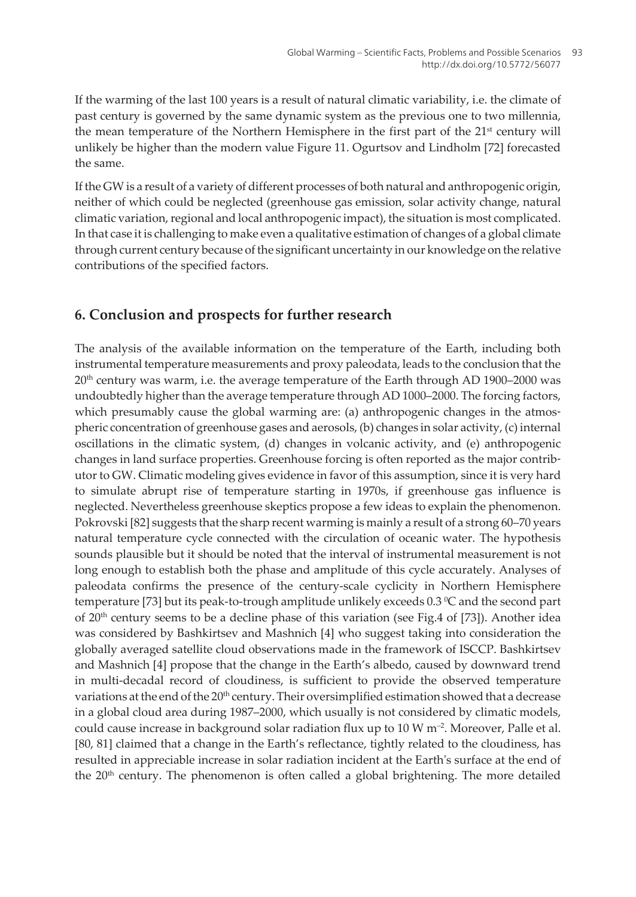If the warming of the last 100 years is a result of natural climatic variability, i.e. the climate of past century is governed by the same dynamic system as the previous one to two millennia, the mean temperature of the Northern Hemisphere in the first part of the  $21<sup>st</sup>$  century will unlikely be higher than the modern value [Figure 11.](#page-17-0) Ogurtsov and Lindholm [[72\]](#page-26-0) forecasted the same.

If the GW is a result of a variety of different processes of both natural and anthropogenic origin, neither of which could be neglected (greenhouse gas emission, solar activity change, natural climatic variation, regional and local anthropogenic impact), the situation is most complicated. In that case it is challenging to make even a qualitative estimation of changes of a global climate through current century because of the significant uncertainty in our knowledge on the relative contributions of the specified factors.

## **6. Conclusion and prospects for further research**

The analysis of the available information on the temperature of the Earth, including both instrumental temperature measurements and proxy paleodata, leads to the conclusion that the  $20<sup>th</sup>$  century was warm, i.e. the average temperature of the Earth through AD 1900–2000 was undoubtedly higher than the average temperature through AD 1000–2000. The forcing factors, which presumably cause the global warming are: (a) anthropogenic changes in the atmospheric concentration of greenhouse gases and aerosols, (b) changes in solar activity, (c) internal oscillations in the climatic system, (d) changes in volcanic activity, and (e) anthropogenic changes in land surface properties. Greenhouse forcing is often reported as the major contrib‐ utor to GW. Climatic modeling gives evidence in favor of this assumption, since it is very hard to simulate abrupt rise of temperature starting in 1970s, if greenhouse gas influence is neglected. Nevertheless greenhouse skeptics propose a few ideas to explain the phenomenon. Pokrovski [[82\]](#page-27-0) suggests that the sharp recent warming is mainly a result of a strong 60–70 years natural temperature cycle connected with the circulation of oceanic water. The hypothesis sounds plausible but it should be noted that the interval of instrumental measurement is not long enough to establish both the phase and amplitude of this cycle accurately. Analyses of paleodata confirms the presence of the century-scale cyclicity in Northern Hemisphere temperature [[73\]](#page-26-0) but its peak-to-trough amplitude unlikely exceeds  $0.3\,^{\circ}\text{C}$  and the second part of  $20<sup>th</sup>$  century seems to be a decline phase of this variation (see [Fig.4](#page-7-0) of [\[73](#page-26-0)]). Another idea was considered by Bashkirtsev and Mashnich [\[4\]](#page-21-0) who suggest taking into consideration the globally averaged satellite cloud observations made in the framework of ISCCP. Bashkirtsev and Mashnich [[4](#page-21-0)] propose that the change in the Earth's albedo, caused by downward trend in multi-decadal record of cloudiness, is sufficient to provide the observed temperature variations at the end of the 20<sup>th</sup> century. Their oversimplified estimation showed that a decrease in a global cloud area during 1987–2000, which usually is not considered by climatic models, could cause increase in background solar radiation flux up to  $10 \text{ W m}^{-2}$ . Moreover, Palle et al. [[80, 81](#page-27-0)] claimed that a change in the Earth's reflectance, tightly related to the cloudiness, has resulted in appreciable increase in solar radiation incident at the Earth's surface at the end of the  $20<sup>th</sup>$  century. The phenomenon is often called a global brightening. The more detailed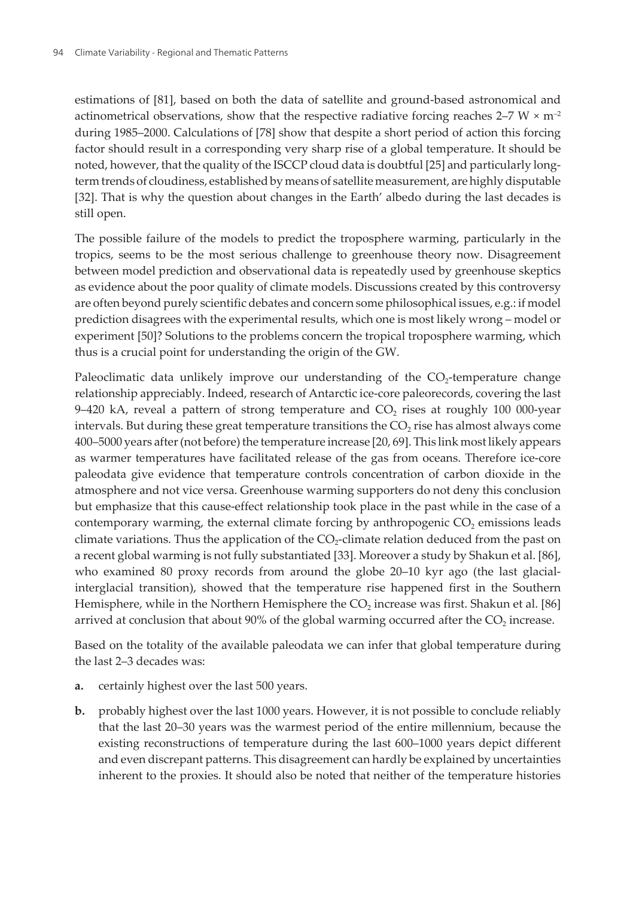estimations of [\[81](#page-27-0)], based on both the data of satellite and ground-based astronomical and actinometrical observations, show that the respective radiative forcing reaches 2–7 W  $\times$  m<sup>-2</sup> during 1985–2000. Calculations of [[78\]](#page-27-0) show that despite a short period of action this forcing factor should result in a corresponding very sharp rise of a global temperature. It should be noted, however, that the quality of the ISCCP cloud data is doubtful [[25\]](#page-23-0) and particularly longterm trends of cloudiness, established by means of satellite measurement, are highly disputable [[32\]](#page-23-0). That is why the question about changes in the Earth' albedo during the last decades is still open.

The possible failure of the models to predict the troposphere warming, particularly in the tropics, seems to be the most serious challenge to greenhouse theory now. Disagreement between model prediction and observational data is repeatedly used by greenhouse skeptics as evidence about the poor quality of climate models. Discussions created by this controversy are often beyond purely scientific debates and concern some philosophical issues, e.g.: if model prediction disagrees with the experimental results, which one is most likely wrong – model or experiment [\[50](#page-24-0)]? Solutions to the problems concern the tropical troposphere warming, which thus is a crucial point for understanding the origin of the GW.

Paleoclimatic data unlikely improve our understanding of the  $\rm CO_2$ -temperature change relationship appreciably. Indeed, research of Antarctic ice-core paleorecords, covering the last 9–420 kA, reveal a pattern of strong temperature and  $\mathrm{CO}_2$  rises at roughly 100 000-year intervals. But during these great temperature transitions the  $\mathrm{CO}_2$  rise has almost always come 400–5000 years after (not before) the temperature increase [\[20](#page-22-0), [69\]](#page-26-0). This link most likely appears as warmer temperatures have facilitated release of the gas from oceans. Therefore ice-core paleodata give evidence that temperature controls concentration of carbon dioxide in the atmosphere and not vice versa. Greenhouse warming supporters do not deny this conclusion but emphasize that this cause-effect relationship took place in the past while in the case of a contemporary warming, the external climate forcing by anthropogenic  $CO_2$  emissions leads climate variations. Thus the application of the  $CO_2$ -climate relation deduced from the past on a recent global warming is not fully substantiated [[33\]](#page-23-0). Moreover a study by Shakun et al. [[86\]](#page-27-0), who examined 80 proxy records from around the globe 20–10 kyr ago (the last glacialinterglacial transition), showed that the temperature rise happened first in the Southern Hemisphere, while in the Northern Hemisphere the CO $_2$  increase was first. Shakun et al. [\[86](#page-27-0)] arrived at conclusion that about 90% of the global warming occurred after the  $\mathrm{CO}_2$  increase.

Based on the totality of the available paleodata we can infer that global temperature during the last 2–3 decades was:

- **a.** certainly highest over the last 500 years.
- **b.** probably highest over the last 1000 years. However, it is not possible to conclude reliably that the last 20–30 years was the warmest period of the entire millennium, because the existing reconstructions of temperature during the last 600–1000 years depict different and even discrepant patterns. This disagreement can hardly be explained by uncertainties inherent to the proxies. It should also be noted that neither of the temperature histories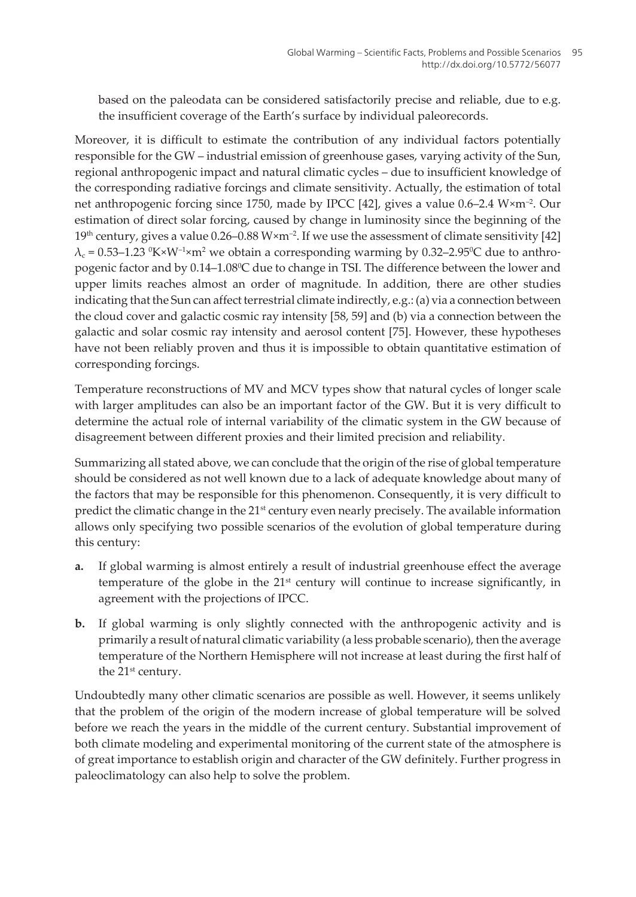based on the paleodata can be considered satisfactorily precise and reliable, due to e.g. the insufficient coverage of the Earth's surface by individual paleorecords.

Moreover, it is difficult to estimate the contribution of any individual factors potentially responsible for the GW – industrial emission of greenhouse gases, varying activity of the Sun, regional anthropogenic impact and natural climatic cycles – due to insufficient knowledge of the corresponding radiative forcings and climate sensitivity. Actually, the estimation of total net anthropogenic forcing since 1750, made by IPCC [[42\]](#page-24-0), gives a value 0.6–2.4 W×m–2. Our estimation of direct solar forcing, caused by change in luminosity since the beginning of the 19<sup>th</sup> century, gives a value  $0.26-0.88$  W $\times$ m<sup>-2</sup>. If we use the assessment of climate sensitivity [\[42](#page-24-0)]  $\lambda_{\rm c}$  = 0.53–1.23  $\rm {}^0\!K$ ×W<sup>-1</sup>×m<sup>2</sup> we obtain a corresponding warming by 0.32–2.95°C due to anthropogenic factor and by 0.14–1.08<sup>0</sup>C due to change in TSI. The difference between the lower and upper limits reaches almost an order of magnitude. In addition, there are other studies indicating that the Sun can affect terrestrial climate indirectly, e.g.: (a) via a connection between the cloud cover and galactic cosmic ray intensity [\[58](#page-25-0), [59\]](#page-25-0) and (b) via a connection between the galactic and solar cosmic ray intensity and aerosol content [[75\]](#page-26-0). However, these hypotheses have not been reliably proven and thus it is impossible to obtain quantitative estimation of corresponding forcings.

Temperature reconstructions of MV and MCV types show that natural cycles of longer scale with larger amplitudes can also be an important factor of the GW. But it is very difficult to determine the actual role of internal variability of the climatic system in the GW because of disagreement between different proxies and their limited precision and reliability.

Summarizing all stated above, we can conclude that the origin of the rise of global temperature should be considered as not well known due to a lack of adequate knowledge about many of the factors that may be responsible for this phenomenon. Consequently, it is very difficult to predict the climatic change in the 21<sup>st</sup> century even nearly precisely. The available information allows only specifying two possible scenarios of the evolution of global temperature during this century:

- **a.** If global warming is almost entirely a result of industrial greenhouse effect the average temperature of the globe in the  $21<sup>st</sup>$  century will continue to increase significantly, in agreement with the projections of IPCC.
- **b.** If global warming is only slightly connected with the anthropogenic activity and is primarily a result of natural climatic variability (a less probable scenario), then the average temperature of the Northern Hemisphere will not increase at least during the first half of the 21<sup>st</sup> century.

Undoubtedly many other climatic scenarios are possible as well. However, it seems unlikely that the problem of the origin of the modern increase of global temperature will be solved before we reach the years in the middle of the current century. Substantial improvement of both climate modeling and experimental monitoring of the current state of the atmosphere is of great importance to establish origin and character of the GW definitely. Further progress in paleoclimatology can also help to solve the problem.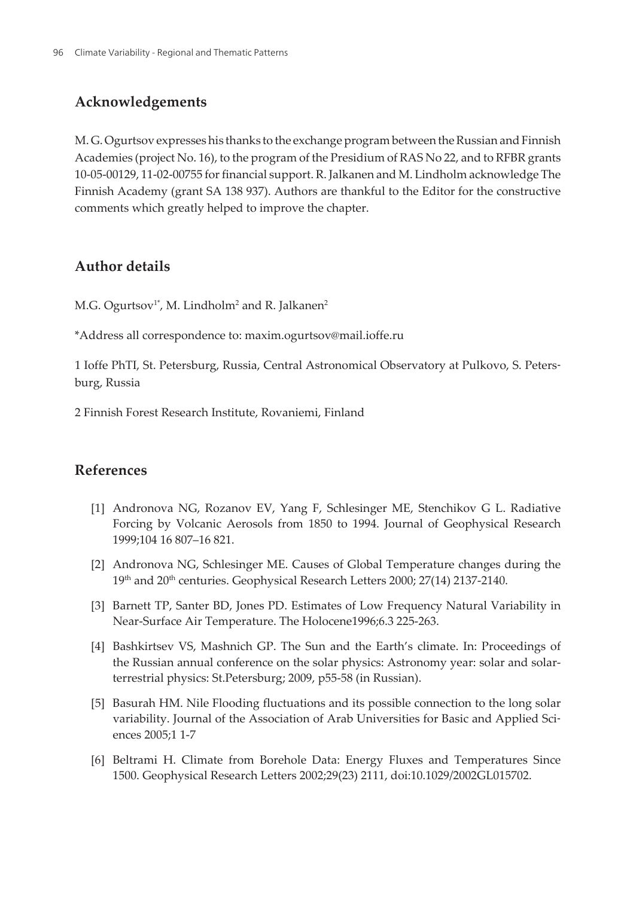## <span id="page-21-0"></span>**Acknowledgements**

M. G. Ogurtsov expresses his thanks to the exchange program between the Russian and Finnish Academies (project No. 16), to the program of the Presidium of RAS No 22, and to RFBR grants 10-05-00129, 11-02-00755 for financial support. R. Jalkanen and M. Lindholm acknowledge The Finnish Academy (grant SA 138 937). Authors are thankful to the Editor for the constructive comments which greatly helped to improve the chapter.

# **Author details**

M.G. Ogurtsov $^{\scriptscriptstyle 1*}$ , M. Lindholm $^{\scriptscriptstyle 2}$  and R. Jalkanen $^{\scriptscriptstyle 2}$ 

\*Address all correspondence to: maxim.ogurtsov@mail.ioffe.ru

1 Ioffe PhTI, St. Petersburg, Russia, Central Astronomical Observatory at Pulkovo, S. Peters‐ burg, Russia

2 Finnish Forest Research Institute, Rovaniemi, Finland

### **References**

- [1] Andronova NG, Rozanov EV, Yang F, Schlesinger ME, Stenchikov G L. Radiative Forcing by Volcanic Aerosols from 1850 to 1994. Journal of Geophysical Research 1999;104 16 807–16 821.
- [2] Andronova NG, Schlesinger ME. Causes of Global Temperature changes during the 19<sup>th</sup> and 20<sup>th</sup> centuries. Geophysical Research Letters 2000; 27(14) 2137-2140.
- [3] Barnett TP, Santer BD, Jones PD. Estimates of Low Frequency Natural Variability in Near-Surface Air Temperature. The Holocene1996;6.3 225-263.
- [4] Bashkirtsev VS, Mashnich GP. The Sun and the Earth's climate. In: Proceedings of the Russian annual conference on the solar physics: Astronomy year: solar and solarterrestrial physics: St.Petersburg; 2009, p55-58 (in Russian).
- [5] Basurah HM. Nile Flooding fluctuations and its possible connection to the long solar variability. Journal of the Association of Arab Universities for Basic and Applied Sciences 2005;1 1-7
- [6] Beltrami H. Climate from Borehole Data: Energy Fluxes and Temperatures Since 1500. Geophysical Research Letters 2002;29(23) 2111, doi:10.1029/2002GL015702.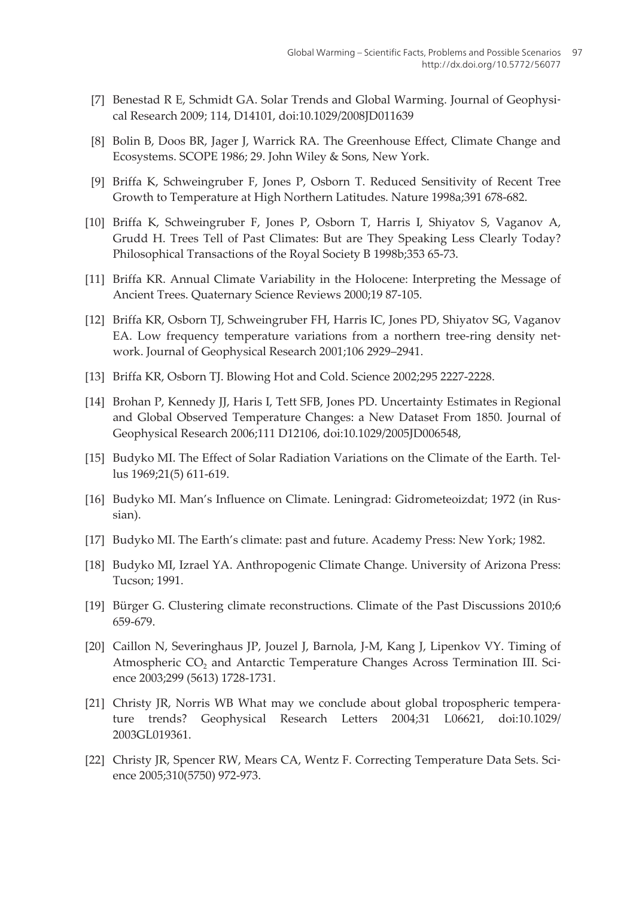- <span id="page-22-0"></span>[7] Benestad R E, Schmidt GA. Solar Trends and Global Warming. Journal of Geophysical Research 2009; 114, D14101, doi:10.1029/2008JD011639
- [8] Bolin B, Doos BR, Jager J, Warrick RA. The Greenhouse Effect, Climate Change and Ecosystems. SCOPE 1986; 29. John Wiley & Sons, New York.
- [9] Briffa K, Schweingruber F, Jones P, Osborn T. Reduced Sensitivity of Recent Tree Growth to Temperature at High Northern Latitudes. Nature 1998a;391 678-682.
- [10] Briffa K, Schweingruber F, Jones P, Osborn T, Harris I, Shiyatov S, Vaganov A, Grudd H. Trees Tell of Past Climates: But are They Speaking Less Clearly Today? Philosophical Transactions of the Royal Society B 1998b;353 65-73.
- [11] Briffa KR. Annual Climate Variability in the Holocene: Interpreting the Message of Ancient Trees. Quaternary Science Reviews 2000;19 87-105.
- [12] Briffa KR, Osborn TJ, Schweingruber FH, Harris IC, Jones PD, Shiyatov SG, Vaganov EA. Low frequency temperature variations from a northern tree-ring density net‐ work. Journal of Geophysical Research 2001;106 2929–2941.
- [13] Briffa KR, Osborn TJ. Blowing Hot and Cold. Science 2002;295 2227-2228.
- [14] Brohan P, Kennedy JJ, Haris I, Tett SFB, Jones PD. Uncertainty Estimates in Regional and Global Observed Temperature Changes: a New Dataset From 1850. Journal of Geophysical Research 2006;111 D12106, doi:10.1029/2005JD006548,
- [15] Budyko MI. The Effect of Solar Radiation Variations on the Climate of the Earth. Tel‐ lus 1969;21(5) 611-619.
- [16] Budyko MI. Man's Influence on Climate. Leningrad: Gidrometeoizdat; 1972 (in Rus‐ sian).
- [17] Budyko MI. The Earth's climate: past and future. Academy Press: New York; 1982.
- [18] Budyko MI, Izrael YA. Anthropogenic Climate Change. University of Arizona Press: Tucson; 1991.
- [19] Bürger G. Clustering climate reconstructions. Climate of the Past Discussions 2010;6 659-679.
- [20] Caillon N, Severinghaus JP, Jouzel J, Barnola, J-M, Kang J, Lipenkov VY. Timing of Atmospheric  $\mathrm{CO}_2$  and Antarctic Temperature Changes Across Termination III. Science 2003;299 (5613) 1728-1731.
- [21] Christy JR, Norris WB What may we conclude about global tropospheric tempera‐ ture trends? Geophysical Research Letters 2004;31 L06621, doi:10.1029/ 2003GL019361.
- [22] Christy JR, Spencer RW, Mears CA, Wentz F. Correcting Temperature Data Sets. Science 2005;310(5750) 972-973.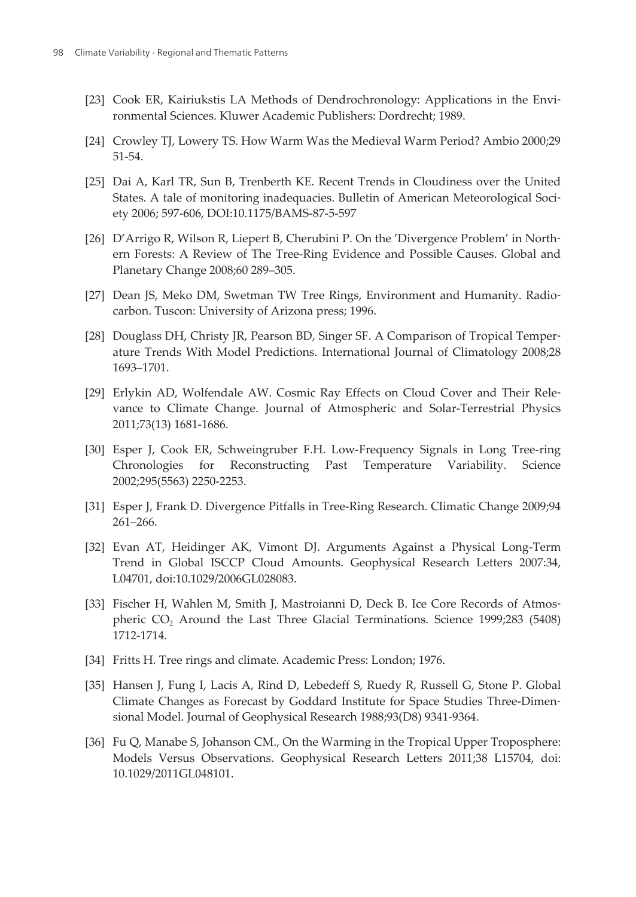- <span id="page-23-0"></span>[23] Cook ER, Kairiukstis LA Methods of Dendrochronology: Applications in the Environmental Sciences. Kluwer Academic Publishers: Dordrecht; 1989.
- [24] Crowley TJ, Lowery TS. How Warm Was the Medieval Warm Period? Ambio 2000;29 51-54.
- [25] Dai A, Karl TR, Sun B, Trenberth KE. Recent Trends in Cloudiness over the United States. A tale of monitoring inadequacies. Bulletin of American Meteorological Society 2006; 597-606, DOI:10.1175/BAMS-87-5-597
- [26] D'Arrigo R, Wilson R, Liepert B, Cherubini P. On the 'Divergence Problem' in Northern Forests: A Review of The Tree-Ring Evidence and Possible Causes. Global and Planetary Change 2008;60 289–305.
- [27] Dean JS, Meko DM, Swetman TW Tree Rings, Environment and Humanity. Radio‐ carbon. Tuscon: University of Arizona press; 1996.
- [28] Douglass DH, Christy JR, Pearson BD, Singer SF. A Comparison of Tropical Temper‐ ature Trends With Model Predictions. International Journal of Climatology 2008;28 1693–1701.
- [29] Erlykin AD, Wolfendale AW. Cosmic Ray Effects on Cloud Cover and Their Rele‐ vance to Climate Change. Journal of Atmospheric and Solar-Terrestrial Physics 2011;73(13) 1681-1686.
- [30] Esper J, Cook ER, Schweingruber F.H. Low-Frequency Signals in Long Tree-ring Chronologies for Reconstructing Past Temperature Variability. Science 2002;295(5563) 2250-2253.
- [31] Esper J, Frank D. Divergence Pitfalls in Tree-Ring Research. Climatic Change 2009;94 261–266.
- [32] Evan AT, Heidinger AK, Vimont DJ. Arguments Against a Physical Long-Term Trend in Global ISCCP Cloud Amounts. Geophysical Research Letters 2007:34, L04701, doi:10.1029/2006GL028083.
- [33] Fischer H, Wahlen M, Smith J, Mastroianni D, Deck B. Ice Core Records of Atmospheric CO<sup>2</sup> Around the Last Three Glacial Terminations. Science 1999;283 (5408) 1712-1714.
- [34] Fritts H. Tree rings and climate. Academic Press: London; 1976.
- [35] Hansen J, Fung I, Lacis A, Rind D, Lebedeff S, Ruedy R, Russell G, Stone P. Global Climate Changes as Forecast by Goddard Institute for Space Studies Three-Dimen‐ sional Model. Journal of Geophysical Research 1988;93(D8) 9341-9364.
- [36] Fu Q, Manabe S, Johanson CM., On the Warming in the Tropical Upper Troposphere: Models Versus Observations. Geophysical Research Letters 2011;38 L15704, doi: 10.1029/2011GL048101.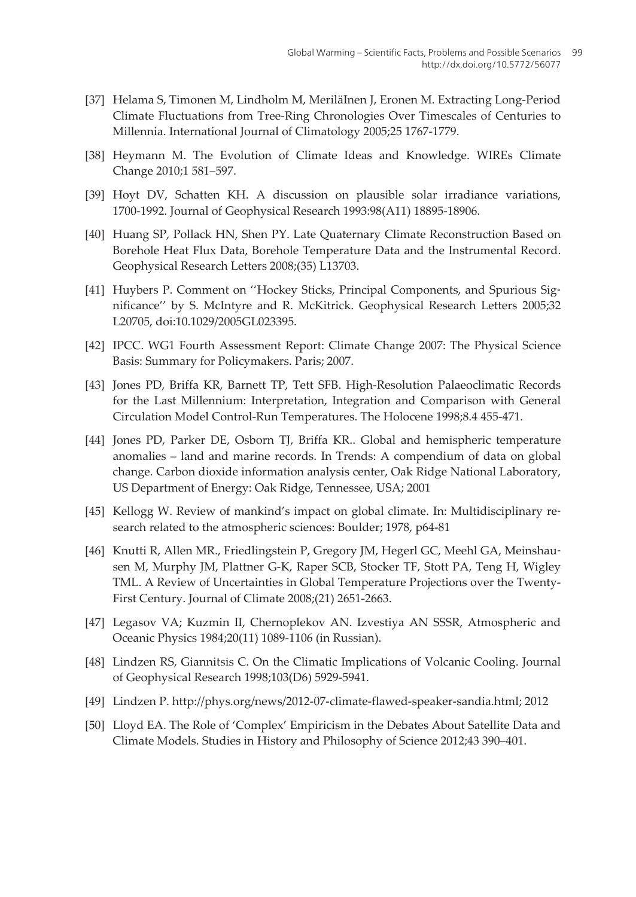- <span id="page-24-0"></span>[37] Helama S, Timonen M, Lindholm M, MeriläInen J, Eronen M. Extracting Long-Period Climate Fluctuations from Tree-Ring Chronologies Over Timescales of Centuries to Millennia. International Journal of Climatology 2005;25 1767-1779.
- [38] Heymann M. The Evolution of Climate Ideas and Knowledge. WIREs Climate Change 2010;1 581–597.
- [39] Hoyt DV, Schatten KH. A discussion on plausible solar irradiance variations, 1700-1992. Journal of Geophysical Research 1993:98(A11) 18895-18906.
- [40] Huang SP, Pollack HN, Shen PY. Late Quaternary Climate Reconstruction Based on Borehole Heat Flux Data, Borehole Temperature Data and the Instrumental Record. Geophysical Research Letters 2008;(35) L13703.
- [41] Huybers P. Comment on ''Hockey Sticks, Principal Components, and Spurious Sig‐ nificance'' by S. McIntyre and R. McKitrick. Geophysical Research Letters 2005;32 L20705, doi:10.1029/2005GL023395.
- [42] IPCC. WG1 Fourth Assessment Report: Climate Change 2007: The Physical Science Basis: Summary for Policymakers. Paris; 2007.
- [43] Jones PD, Briffa KR, Barnett TP, Tett SFB. High-Resolution Palaeoclimatic Records for the Last Millennium: Interpretation, Integration and Comparison with General Circulation Model Control-Run Temperatures. The Holocene 1998;8.4 455-471.
- [44] Jones PD, Parker DE, Osborn TJ, Briffa KR.. Global and hemispheric temperature anomalies – land and marine records. In Trends: A compendium of data on global change. Carbon dioxide information analysis center, Oak Ridge National Laboratory, US Department of Energy: Oak Ridge, Tennessee, USA; 2001
- [45] Kellogg W. Review of mankind's impact on global climate. In: Multidisciplinary research related to the atmospheric sciences: Boulder; 1978, p64-81
- [46] Knutti R, Allen MR., Friedlingstein P, Gregory JM, Hegerl GC, Meehl GA, Meinshau‐ sen M, Murphy JM, Plattner G-K, Raper SCB, Stocker TF, Stott PA, Teng H, Wigley TML. A Review of Uncertainties in Global Temperature Projections over the Twenty-First Century. Journal of Climate 2008;(21) 2651-2663.
- [47] Legasov VA; Kuzmin II, Chernoplekov AN. Izvestiya AN SSSR, Atmospheric and Oceanic Physics 1984;20(11) 1089-1106 (in Russian).
- [48] Lindzen RS, Giannitsis C. On the Climatic Implications of Volcanic Cooling. Journal of Geophysical Research 1998;103(D6) 5929-5941.
- [49] Lindzen P. http://phys.org/news/2012-07-climate-flawed-speaker-sandia.html; 2012
- [50] Lloyd EA. The Role of 'Complex' Empiricism in the Debates About Satellite Data and Climate Models. Studies in History and Philosophy of Science 2012;43 390–401.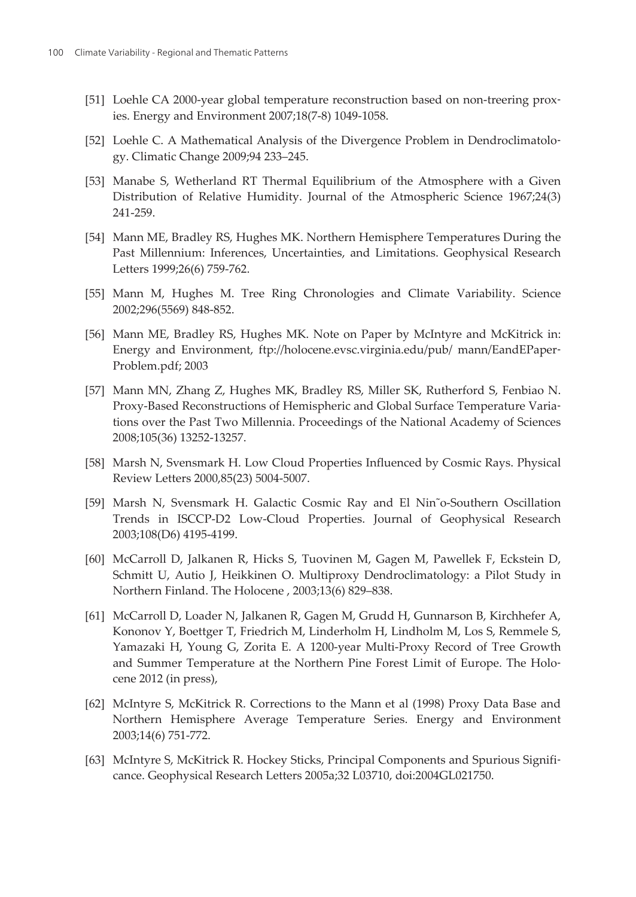- <span id="page-25-0"></span>[51] Loehle CA 2000-year global temperature reconstruction based on non-treering prox‐ ies. Energy and Environment 2007;18(7-8) 1049-1058.
- [52] Loehle C. A Mathematical Analysis of the Divergence Problem in Dendroclimatology. Climatic Change 2009;94 233–245.
- [53] Manabe S, Wetherland RT Thermal Equilibrium of the Atmosphere with a Given Distribution of Relative Humidity. Journal of the Atmospheric Science 1967;24(3) 241-259.
- [54] Mann ME, Bradley RS, Hughes MK. Northern Hemisphere Temperatures During the Past Millennium: Inferences, Uncertainties, and Limitations. Geophysical Research Letters 1999;26(6) 759-762.
- [55] Mann M, Hughes M. Tree Ring Chronologies and Climate Variability. Science 2002;296(5569) 848-852.
- [56] Mann ME, Bradley RS, Hughes MK. Note on Paper by McIntyre and McKitrick in: Energy and Environment, ftp://holocene.evsc.virginia.edu/pub/ mann/EandEPaper‐ Problem.pdf; 2003
- [57] Mann MN, Zhang Z, Hughes MK, Bradley RS, Miller SK, Rutherford S, Fenbiao N. Proxy-Based Reconstructions of Hemispheric and Global Surface Temperature Varia‐ tions over the Past Two Millennia. Proceedings of the National Academy of Sciences 2008;105(36) 13252-13257.
- [58] Marsh N, Svensmark H. Low Cloud Properties Influenced by Cosmic Rays. Physical Review Letters 2000,85(23) 5004-5007.
- [59] Marsh N, Svensmark H. Galactic Cosmic Ray and El Nin˜o-Southern Oscillation Trends in ISCCP-D2 Low-Cloud Properties. Journal of Geophysical Research 2003;108(D6) 4195-4199.
- [60] McCarroll D, Jalkanen R, Hicks S, Tuovinen M, Gagen M, Pawellek F, Eckstein D, Schmitt U, Autio J, Heikkinen O. Multiproxy Dendroclimatology: a Pilot Study in Northern Finland. The Holocene , 2003;13(6) 829–838.
- [61] McCarroll D, Loader N, Jalkanen R, Gagen M, Grudd H, Gunnarson B, Kirchhefer A, Kononov Y, Boettger T, Friedrich M, Linderholm H, Lindholm M, Los S, Remmele S, Yamazaki H, Young G, Zorita E. A 1200-year Multi-Proxy Record of Tree Growth and Summer Temperature at the Northern Pine Forest Limit of Europe. The Holocene 2012 (in press),
- [62] McIntyre S, McKitrick R. Corrections to the Mann et al (1998) Proxy Data Base and Northern Hemisphere Average Temperature Series. Energy and Environment 2003;14(6) 751-772.
- [63] McIntyre S, McKitrick R. Hockey Sticks, Principal Components and Spurious Signifi‐ cance. Geophysical Research Letters 2005a;32 L03710, doi:2004GL021750.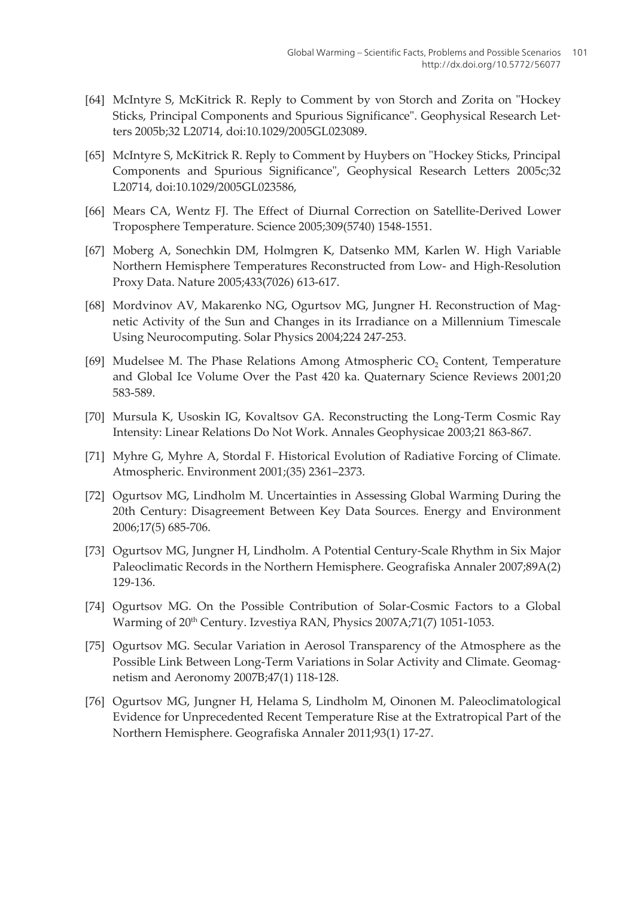- <span id="page-26-0"></span>[64] McIntyre S, McKitrick R. Reply to Comment by von Storch and Zorita on "Hockey Sticks, Principal Components and Spurious Significance". Geophysical Research Let‐ ters 2005b;32 L20714, doi:10.1029/2005GL023089.
- [65] McIntyre S, McKitrick R. Reply to Comment by Huybers on "Hockey Sticks, Principal Components and Spurious Significance", Geophysical Research Letters 2005c;32 L20714, doi:10.1029/2005GL023586,
- [66] Mears CA, Wentz FJ. The Effect of Diurnal Correction on Satellite-Derived Lower Troposphere Temperature. Science 2005;309(5740) 1548-1551.
- [67] Moberg A, Sonechkin DM, Holmgren K, Datsenko MM, Karlen W. High Variable Northern Hemisphere Temperatures Reconstructed from Low- and High-Resolution Proxy Data. Nature 2005;433(7026) 613-617.
- [68] Mordvinov AV, Makarenko NG, Ogurtsov MG, Jungner H. Reconstruction of Mag‐ netic Activity of the Sun and Changes in its Irradiance on a Millennium Timescale Using Neurocomputing. Solar Physics 2004;224 247-253.
- [69] Mudelsee M. The Phase Relations Among Atmospheric  $\mathrm{CO}_2$  Content, Temperature and Global Ice Volume Over the Past 420 ka. Quaternary Science Reviews 2001;20 583-589.
- [70] Mursula K, Usoskin IG, Kovaltsov GA. Reconstructing the Long-Term Cosmic Ray Intensity: Linear Relations Do Not Work. Annales Geophysicae 2003;21 863-867.
- [71] Myhre G, Myhre A, Stordal F. Historical Evolution of Radiative Forcing of Climate. Atmospheric. Environment 2001;(35) 2361–2373.
- [72] Ogurtsov MG, Lindholm M. Uncertainties in Assessing Global Warming During the 20th Century: Disagreement Between Key Data Sources. Energy and Environment 2006;17(5) 685-706.
- [73] Ogurtsov MG, Jungner H, Lindholm. A Potential Century-Scale Rhythm in Six Major Paleoclimatic Records in the Northern Hemisphere. Geografiska Annaler 2007;89A(2) 129-136.
- [74] Ogurtsov MG. On the Possible Contribution of Solar-Cosmic Factors to a Global Warming of 20<sup>th</sup> Century. Izvestiya RAN, Physics 2007A;71(7) 1051-1053.
- [75] Ogurtsov MG. Secular Variation in Aerosol Transparency of the Atmosphere as the Possible Link Between Long-Term Variations in Solar Activity and Climate. Geomag‐ netism and Aeronomy 2007B;47(1) 118-128.
- [76] Ogurtsov MG, Jungner H, Helama S, Lindholm M, Oinonen M. Paleoclimatological Evidence for Unprecedented Recent Temperature Rise at the Extratropical Part of the Northern Hemisphere. Geografiska Annaler 2011;93(1) 17-27.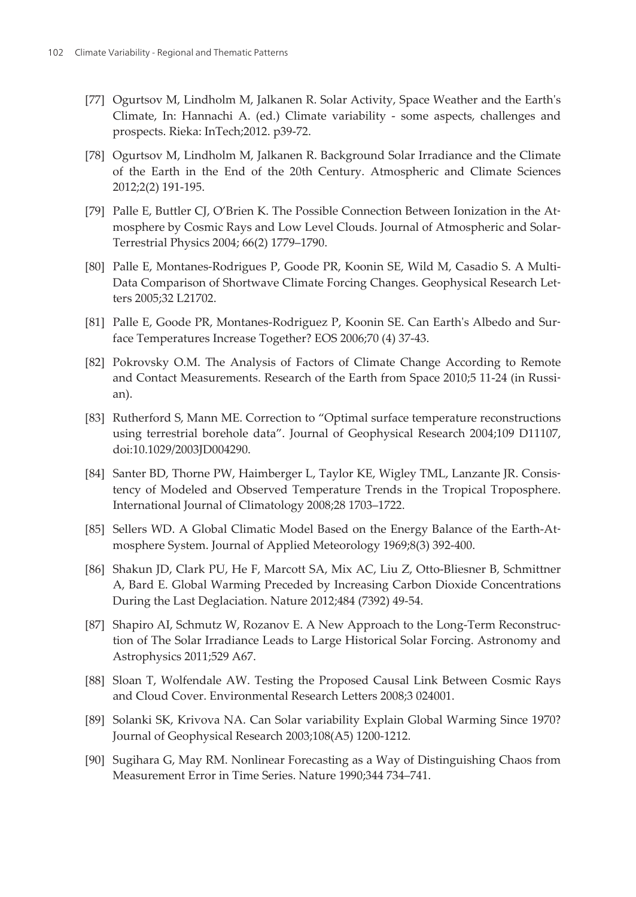- <span id="page-27-0"></span>[77] Ogurtsov M, Lindholm M, Jalkanen R. Solar Activity, Space Weather and the Earth's Climate, In: Hannachi A. (ed.) Climate variability - some aspects, challenges and prospects. Rieka: InTech;2012. p39-72.
- [78] Ogurtsov M, Lindholm M, Jalkanen R. Background Solar Irradiance and the Climate of the Earth in the End of the 20th Century. Atmospheric and Climate Sciences 2012;2(2) 191-195.
- [79] Palle E, Buttler CJ, O'Brien K. The Possible Connection Between Ionization in the Atmosphere by Cosmic Rays and Low Level Clouds. Journal of Atmospheric and Solar-Terrestrial Physics 2004; 66(2) 1779–1790.
- [80] Palle E, Montanes-Rodrigues P, Goode PR, Koonin SE, Wild M, Casadio S. A Multi-Data Comparison of Shortwave Climate Forcing Changes. Geophysical Research Let‐ ters 2005;32 L21702.
- [81] Palle E, Goode PR, Montanes-Rodriguez P, Koonin SE. Can Earth's Albedo and Surface Temperatures Increase Together? EOS 2006;70 (4) 37-43.
- [82] Pokrovsky O.M. The Analysis of Factors of Climate Change According to Remote and Contact Measurements. Research of the Earth from Space 2010;5 11-24 (in Russian).
- [83] Rutherford S, Mann ME. Correction to "Optimal surface temperature reconstructions using terrestrial borehole data". Journal of Geophysical Research 2004;109 D11107, doi:10.1029/2003JD004290.
- [84] Santer BD, Thorne PW, Haimberger L, Taylor KE, Wigley TML, Lanzante JR. Consis‐ tency of Modeled and Observed Temperature Trends in the Tropical Troposphere. International Journal of Climatology 2008;28 1703–1722.
- [85] Sellers WD. A Global Climatic Model Based on the Energy Balance of the Earth-Atmosphere System. Journal of Applied Meteorology 1969;8(3) 392-400.
- [86] Shakun JD, Clark PU, He F, Marcott SA, Mix AC, Liu Z, Otto-Bliesner B, Schmittner A, Bard E. Global Warming Preceded by Increasing Carbon Dioxide Concentrations During the Last Deglaciation. Nature 2012;484 (7392) 49-54.
- [87] Shapiro AI, Schmutz W, Rozanov E. A New Approach to the Long-Term Reconstruc‐ tion of The Solar Irradiance Leads to Large Historical Solar Forcing. Astronomy and Astrophysics 2011;529 A67.
- [88] Sloan T, Wolfendale AW. Testing the Proposed Causal Link Between Cosmic Rays and Cloud Cover. Environmental Research Letters 2008;3 024001.
- [89] Solanki SK, Krivova NA. Can Solar variability Explain Global Warming Since 1970? Journal of Geophysical Research 2003;108(A5) 1200-1212.
- [90] Sugihara G, May RM. Nonlinear Forecasting as a Way of Distinguishing Chaos from Measurement Error in Time Series. Nature 1990;344 734–741.